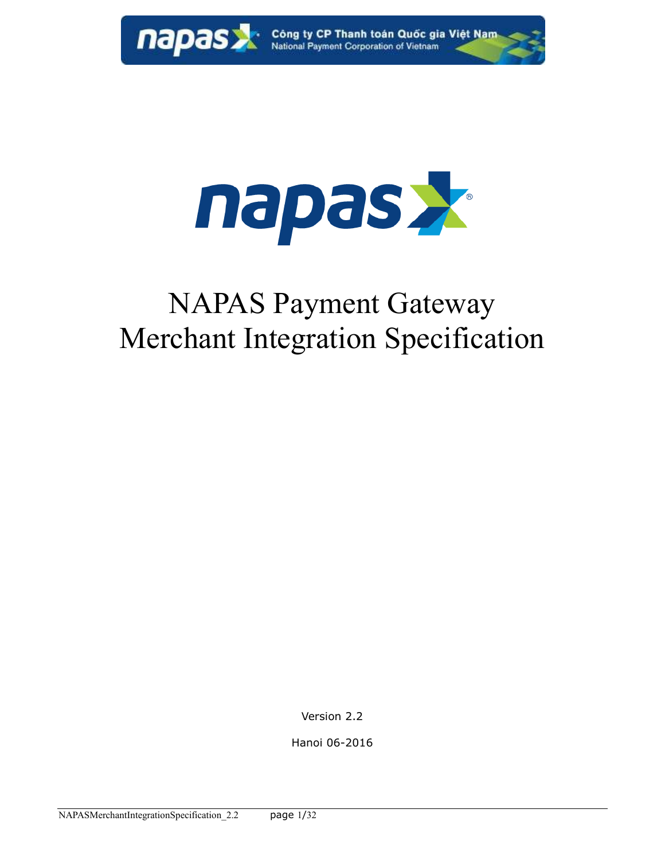

**napas X** Công ty CP Thanh toán Quốc gia Việt Nam



# NAPAS Payment Gateway Merchant Integration Specification

Version 2.2

Hanoi 06-2016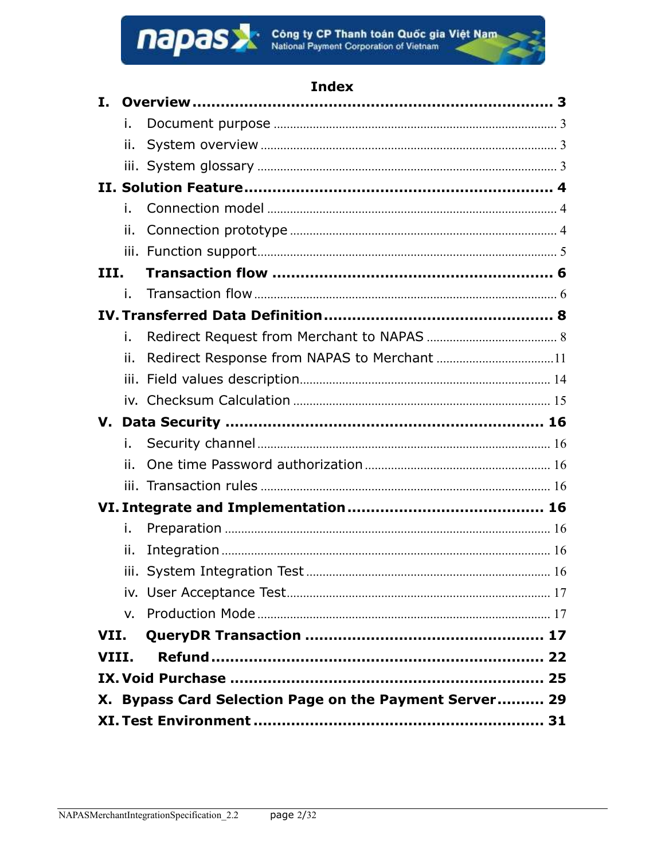

## **Index**

| Τ.    |     |                                                        |  |
|-------|-----|--------------------------------------------------------|--|
|       | i.  |                                                        |  |
|       | ii. |                                                        |  |
|       |     |                                                        |  |
|       |     |                                                        |  |
|       | i.  |                                                        |  |
|       | ii. |                                                        |  |
|       |     |                                                        |  |
| III.  |     |                                                        |  |
|       | i.  |                                                        |  |
|       |     |                                                        |  |
|       | i.  |                                                        |  |
|       | ii. |                                                        |  |
|       |     |                                                        |  |
|       |     |                                                        |  |
|       |     |                                                        |  |
|       | i.  |                                                        |  |
|       | ii. |                                                        |  |
|       |     |                                                        |  |
|       |     |                                                        |  |
|       |     |                                                        |  |
|       | i.  |                                                        |  |
|       | ii. |                                                        |  |
|       |     |                                                        |  |
|       |     |                                                        |  |
|       | V.  |                                                        |  |
| VII.  |     |                                                        |  |
| VIII. |     |                                                        |  |
|       |     |                                                        |  |
|       |     | X. Bypass Card Selection Page on the Payment Server 29 |  |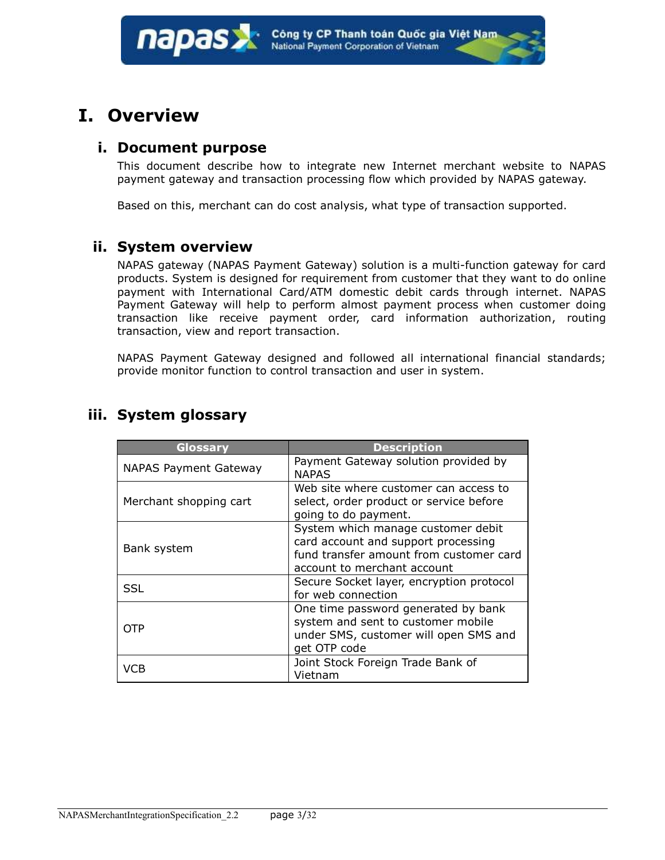## <span id="page-2-1"></span><span id="page-2-0"></span>**I. Overview**

#### **i. Document purpose**

This document describe how to integrate new Internet merchant website to NAPAS payment gateway and transaction processing flow which provided by NAPAS gateway.

Based on this, merchant can do cost analysis, what type of transaction supported.

#### <span id="page-2-2"></span>**ii. System overview**

NAPAS gateway (NAPAS Payment Gateway) solution is a multi-function gateway for card products. System is designed for requirement from customer that they want to do online payment with International Card/ATM domestic debit cards through internet. NAPAS Payment Gateway will help to perform almost payment process when customer doing transaction like receive payment order, card information authorization, routing transaction, view and report transaction.

NAPAS Payment Gateway designed and followed all international financial standards; provide monitor function to control transaction and user in system.

| Glossary                     | <b>Description</b>                                                                                                                                  |
|------------------------------|-----------------------------------------------------------------------------------------------------------------------------------------------------|
| <b>NAPAS Payment Gateway</b> | Payment Gateway solution provided by<br><b>NAPAS</b>                                                                                                |
| Merchant shopping cart       | Web site where customer can access to<br>select, order product or service before<br>going to do payment.                                            |
| Bank system                  | System which manage customer debit<br>card account and support processing<br>fund transfer amount from customer card<br>account to merchant account |
| SSL                          | Secure Socket layer, encryption protocol<br>for web connection                                                                                      |
| OTP                          | One time password generated by bank<br>system and sent to customer mobile<br>under SMS, customer will open SMS and<br>get OTP code                  |
| VCB                          | Joint Stock Foreign Trade Bank of<br>Vietnam                                                                                                        |

### <span id="page-2-3"></span>**iii. System glossary**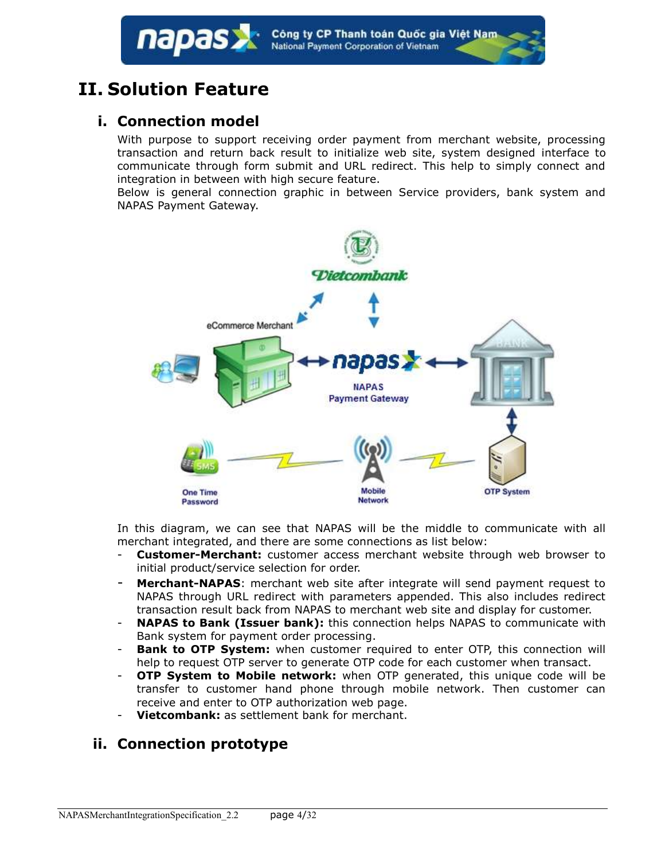## <span id="page-3-1"></span><span id="page-3-0"></span>**II. Solution Feature**

napas

## **i. Connection model**

With purpose to support receiving order payment from merchant website, processing transaction and return back result to initialize web site, system designed interface to communicate through form submit and URL redirect. This help to simply connect and integration in between with high secure feature.

Below is general connection graphic in between Service providers, bank system and NAPAS Payment Gateway.



In this diagram, we can see that NAPAS will be the middle to communicate with all merchant integrated, and there are some connections as list below:

- **Customer-Merchant:** customer access merchant website through web browser to initial product/service selection for order.
- **Merchant-NAPAS**: merchant web site after integrate will send payment request to NAPAS through URL redirect with parameters appended. This also includes redirect transaction result back from NAPAS to merchant web site and display for customer.
- **NAPAS to Bank (Issuer bank):** this connection helps NAPAS to communicate with Bank system for payment order processing.
- **Bank to OTP System:** when customer required to enter OTP, this connection will help to request OTP server to generate OTP code for each customer when transact.
- **OTP System to Mobile network:** when OTP generated, this unique code will be transfer to customer hand phone through mobile network. Then customer can receive and enter to OTP authorization web page.
- **Vietcombank:** as settlement bank for merchant.

## <span id="page-3-2"></span>**ii. Connection prototype**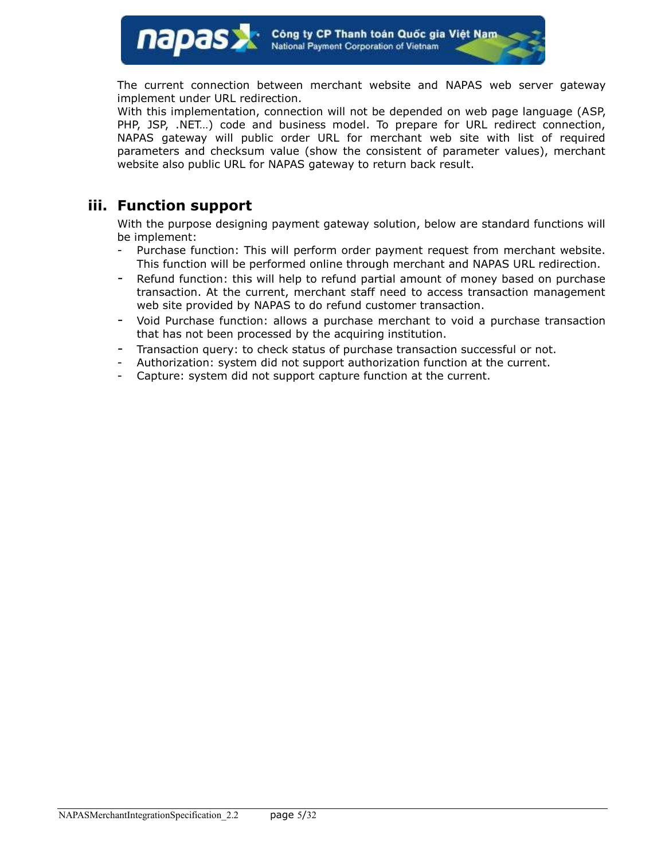The current connection between merchant website and NAPAS web server gateway implement under URL redirection.

With this implementation, connection will not be depended on web page language (ASP, PHP, JSP, .NET...) code and business model. To prepare for URL redirect connection, NAPAS gateway will public order URL for merchant web site with list of required parameters and checksum value (show the consistent of parameter values), merchant website also public URL for NAPAS gateway to return back result.

### <span id="page-4-0"></span>**iii. Function support**

With the purpose designing payment gateway solution, below are standard functions will be implement:

- Purchase function: This will perform order payment request from merchant website. This function will be performed online through merchant and NAPAS URL redirection.
- Refund function: this will help to refund partial amount of money based on purchase transaction. At the current, merchant staff need to access transaction management web site provided by NAPAS to do refund customer transaction.
- Void Purchase function: allows a purchase merchant to void a purchase transaction that has not been processed by the acquiring institution.
- Transaction query: to check status of purchase transaction successful or not.
- Authorization: system did not support authorization function at the current.
- Capture: system did not support capture function at the current.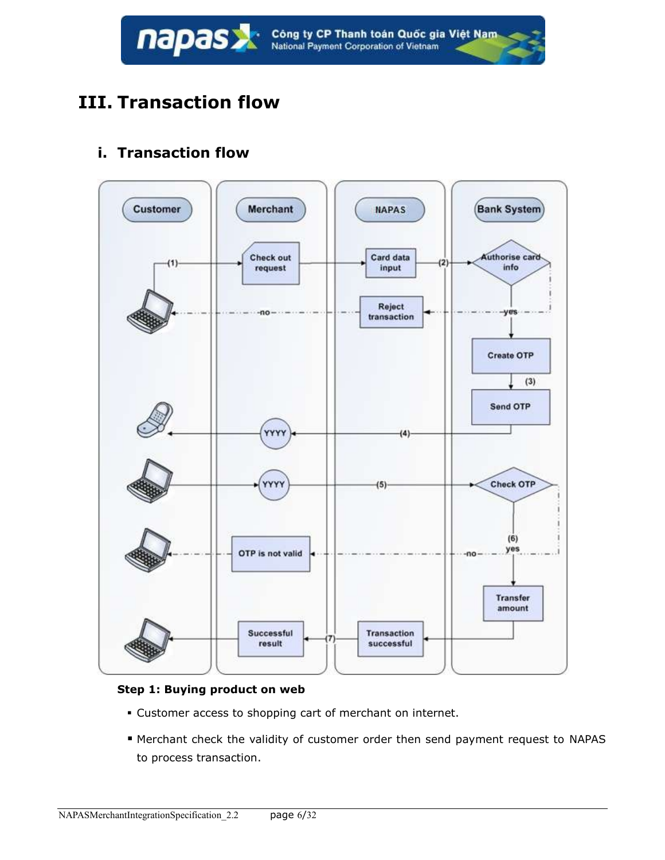

## <span id="page-5-0"></span>**III. Transaction flow**

## <span id="page-5-1"></span>**i. Transaction flow**



#### **Step 1: Buying product on web**

- Customer access to shopping cart of merchant on internet.
- Merchant check the validity of customer order then send payment request to NAPAS to process transaction.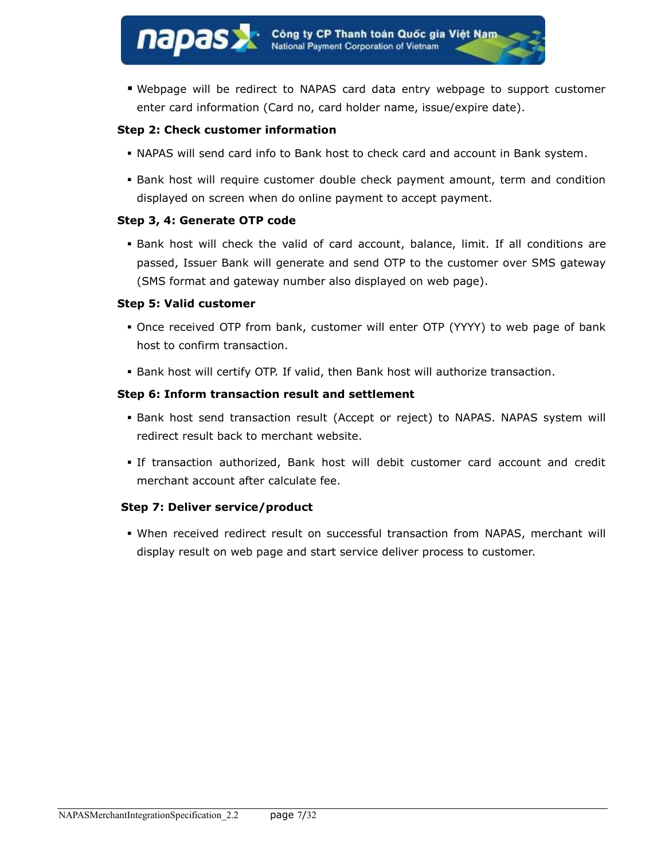Webpage will be redirect to NAPAS card data entry webpage to support customer enter card information (Card no, card holder name, issue/expire date).

#### **Step 2: Check customer information**

- NAPAS will send card info to Bank host to check card and account in Bank system.
- Bank host will require customer double check payment amount, term and condition displayed on screen when do online payment to accept payment.

#### **Step 3, 4: Generate OTP code**

napas

 Bank host will check the valid of card account, balance, limit. If all conditions are passed, Issuer Bank will generate and send OTP to the customer over SMS gateway (SMS format and gateway number also displayed on web page).

#### **Step 5: Valid customer**

- Once received OTP from bank, customer will enter OTP (YYYY) to web page of bank host to confirm transaction.
- Bank host will certify OTP. If valid, then Bank host will authorize transaction.

#### **Step 6: Inform transaction result and settlement**

- Bank host send transaction result (Accept or reject) to NAPAS. NAPAS system will redirect result back to merchant website.
- If transaction authorized, Bank host will debit customer card account and credit merchant account after calculate fee.

#### **Step 7: Deliver service/product**

 When received redirect result on successful transaction from NAPAS, merchant will display result on web page and start service deliver process to customer.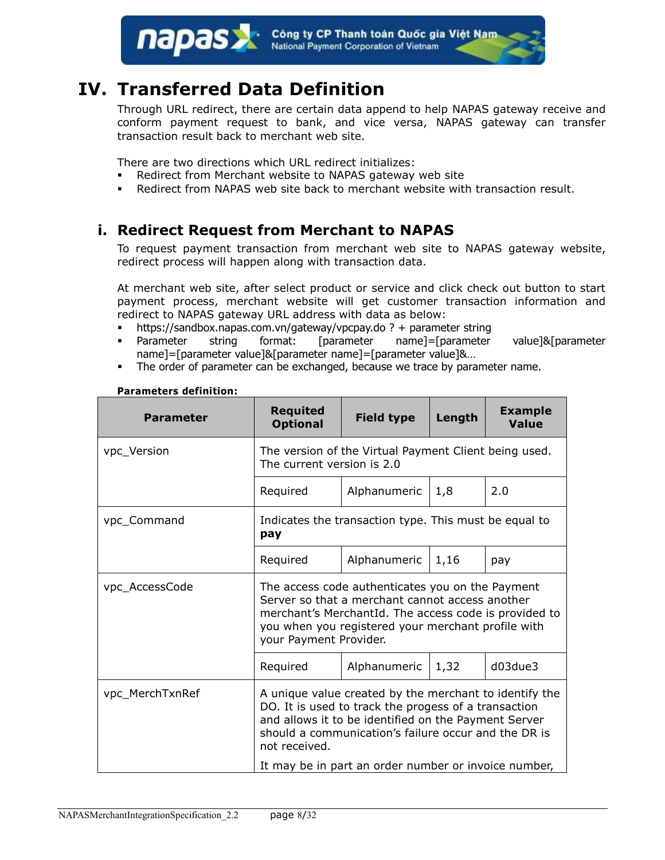Công ty CP Thanh toán Quốc gia Việt Nam<br>National Payment Corporation of Vietnam napas

## <span id="page-7-0"></span>**IV. Transferred Data Definition**

Through URL redirect, there are certain data append to help NAPAS gateway receive and conform payment request to bank, and vice versa, NAPAS gateway can transfer transaction result back to merchant web site.

There are two directions which URL redirect initializes:

- Redirect from Merchant website to NAPAS gateway web site
- Redirect from NAPAS web site back to merchant website with transaction result.

### <span id="page-7-1"></span>**i. Redirect Request from Merchant to NAPAS**

To request payment transaction from merchant web site to NAPAS gateway website, redirect process will happen along with transaction data.

At merchant web site, after select product or service and click check out button to start payment process, merchant website will get customer transaction information and redirect to NAPAS gateway URL address with data as below:

- $\blacksquare$  https://sandbox.napas.com.vn/gateway/vpcpay.do ? + parameter string
- Parameter string format: [parameter name]=[parameter value]&[parameter name]=[parameter value]&[parameter name]=[parameter value]&…
- The order of parameter can be exchanged, because we trace by parameter name.

| The current version is 2.0<br>Required                                                                                                                                                                                                          | The version of the Virtual Payment Client being used.<br>Alphanumeric |      |                                                      |  |
|-------------------------------------------------------------------------------------------------------------------------------------------------------------------------------------------------------------------------------------------------|-----------------------------------------------------------------------|------|------------------------------------------------------|--|
|                                                                                                                                                                                                                                                 |                                                                       |      |                                                      |  |
|                                                                                                                                                                                                                                                 |                                                                       | 1,8  | 2.0                                                  |  |
| Indicates the transaction type. This must be equal to<br>pay                                                                                                                                                                                    |                                                                       |      |                                                      |  |
| Required                                                                                                                                                                                                                                        | Alphanumeric                                                          | 1,16 | pay                                                  |  |
| The access code authenticates you on the Payment<br>Server so that a merchant cannot access another<br>merchant's MerchantId. The access code is provided to<br>you when you registered your merchant profile with<br>your Payment Provider.    |                                                                       |      |                                                      |  |
| Required                                                                                                                                                                                                                                        | Alphanumeric                                                          | 1,32 | d03due3                                              |  |
| A unique value created by the merchant to identify the<br>DO. It is used to track the progess of a transaction<br>and allows it to be identified on the Payment Server<br>should a communication's failure occur and the DR is<br>not received. |                                                                       |      |                                                      |  |
|                                                                                                                                                                                                                                                 |                                                                       |      | It may be in part an order number or invoice number, |  |

#### **Parameters definition:**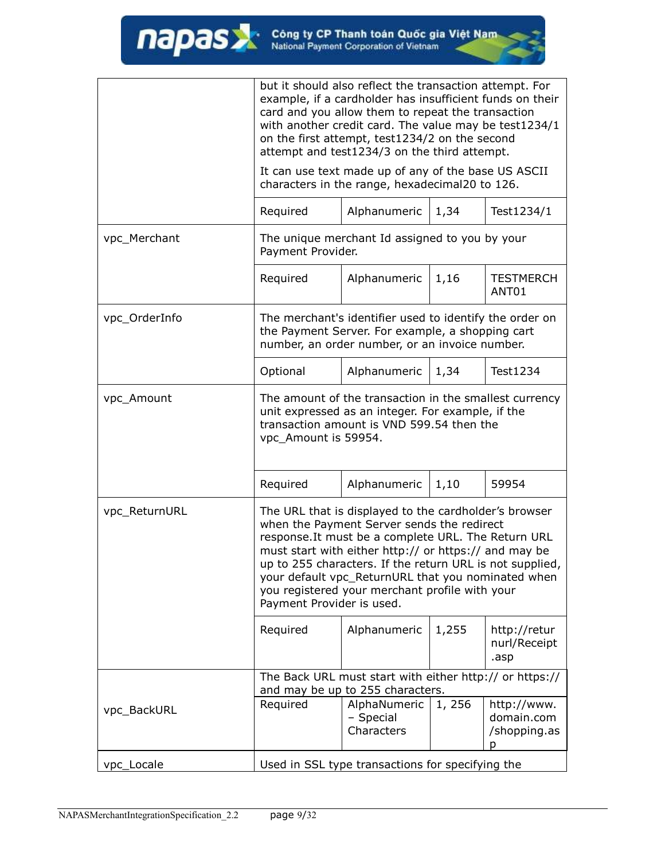|               | but it should also reflect the transaction attempt. For<br>example, if a cardholder has insufficient funds on their<br>card and you allow them to repeat the transaction<br>with another credit card. The value may be test1234/1<br>on the first attempt, test1234/2 on the second<br>attempt and test1234/3 on the third attempt.                                                                                  |                                                                                                       |        |                                           |  |
|---------------|----------------------------------------------------------------------------------------------------------------------------------------------------------------------------------------------------------------------------------------------------------------------------------------------------------------------------------------------------------------------------------------------------------------------|-------------------------------------------------------------------------------------------------------|--------|-------------------------------------------|--|
|               |                                                                                                                                                                                                                                                                                                                                                                                                                      | It can use text made up of any of the base US ASCII<br>characters in the range, hexadecimal20 to 126. |        |                                           |  |
|               | Required                                                                                                                                                                                                                                                                                                                                                                                                             | Alphanumeric                                                                                          | 1,34   | Test1234/1                                |  |
| vpc_Merchant  | The unique merchant Id assigned to you by your<br>Payment Provider.                                                                                                                                                                                                                                                                                                                                                  |                                                                                                       |        |                                           |  |
|               | Required                                                                                                                                                                                                                                                                                                                                                                                                             | Alphanumeric                                                                                          | 1,16   | <b>TESTMERCH</b><br>ANT01                 |  |
| vpc_OrderInfo | The merchant's identifier used to identify the order on<br>the Payment Server. For example, a shopping cart<br>number, an order number, or an invoice number.                                                                                                                                                                                                                                                        |                                                                                                       |        |                                           |  |
|               | Optional                                                                                                                                                                                                                                                                                                                                                                                                             | Alphanumeric                                                                                          | 1,34   | Test1234                                  |  |
| vpc_Amount    | The amount of the transaction in the smallest currency<br>unit expressed as an integer. For example, if the<br>transaction amount is VND 599.54 then the<br>vpc_Amount is 59954.                                                                                                                                                                                                                                     |                                                                                                       |        |                                           |  |
|               | Required                                                                                                                                                                                                                                                                                                                                                                                                             | Alphanumeric                                                                                          | 1,10   | 59954                                     |  |
| vpc_ReturnURL | The URL that is displayed to the cardholder's browser<br>when the Payment Server sends the redirect<br>response. It must be a complete URL. The Return URL<br>must start with either http:// or https:// and may be<br>up to 255 characters. If the return URL is not supplied.<br>your default vpc_ReturnURL that you nominated when<br>you registered your merchant profile with your<br>Payment Provider is used. |                                                                                                       |        |                                           |  |
|               | Required                                                                                                                                                                                                                                                                                                                                                                                                             | Alphanumeric                                                                                          | 1,255  | http://retur<br>nurl/Receipt<br>.asp      |  |
|               |                                                                                                                                                                                                                                                                                                                                                                                                                      | The Back URL must start with either http:// or https://<br>and may be up to 255 characters.           |        |                                           |  |
| vpc_BackURL   | Required                                                                                                                                                                                                                                                                                                                                                                                                             | AlphaNumeric<br>- Special<br>Characters                                                               | 1, 256 | http://www.<br>domain.com<br>/shopping.as |  |
| vpc_Locale    | Used in SSL type transactions for specifying the                                                                                                                                                                                                                                                                                                                                                                     |                                                                                                       |        |                                           |  |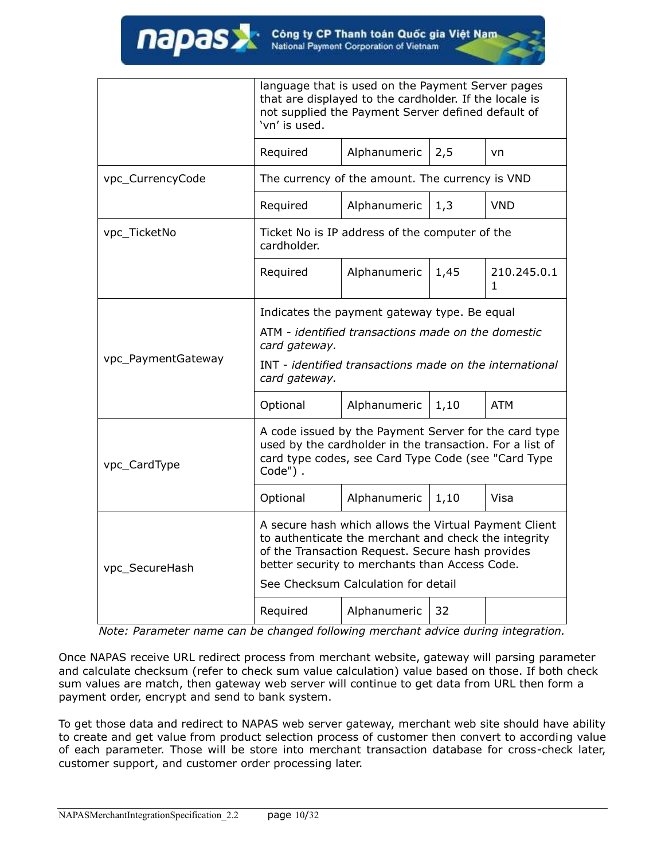|                    | language that is used on the Payment Server pages<br>that are displayed to the cardholder. If the locale is<br>not supplied the Payment Server defined default of<br>'vn' is used.                                  |                                     |      |                             |
|--------------------|---------------------------------------------------------------------------------------------------------------------------------------------------------------------------------------------------------------------|-------------------------------------|------|-----------------------------|
|                    | Required                                                                                                                                                                                                            | Alphanumeric                        | 2,5  | vn                          |
| vpc_CurrencyCode   | The currency of the amount. The currency is VND                                                                                                                                                                     |                                     |      |                             |
|                    | Required                                                                                                                                                                                                            | Alphanumeric                        | 1,3  | <b>VND</b>                  |
| vpc_TicketNo       | Ticket No is IP address of the computer of the<br>cardholder.                                                                                                                                                       |                                     |      |                             |
|                    | Required                                                                                                                                                                                                            | Alphanumeric                        | 1,45 | 210.245.0.1<br>$\mathbf{1}$ |
|                    | Indicates the payment gateway type. Be equal                                                                                                                                                                        |                                     |      |                             |
|                    | ATM - identified transactions made on the domestic<br>card gateway.                                                                                                                                                 |                                     |      |                             |
| vpc_PaymentGateway | INT - identified transactions made on the international<br>card gateway.                                                                                                                                            |                                     |      |                             |
|                    | Optional                                                                                                                                                                                                            | Alphanumeric                        | 1,10 | <b>ATM</b>                  |
| vpc_CardType       | A code issued by the Payment Server for the card type<br>used by the cardholder in the transaction. For a list of<br>card type codes, see Card Type Code (see "Card Type<br>Code").                                 |                                     |      |                             |
|                    | Optional                                                                                                                                                                                                            | Alphanumeric                        | 1,10 | Visa                        |
| vpc_SecureHash     | A secure hash which allows the Virtual Payment Client<br>to authenticate the merchant and check the integrity<br>of the Transaction Request. Secure hash provides<br>better security to merchants than Access Code. |                                     |      |                             |
|                    |                                                                                                                                                                                                                     | See Checksum Calculation for detail |      |                             |
|                    | Required                                                                                                                                                                                                            | Alphanumeric                        | 32   |                             |

*Note: Parameter name can be changed following merchant advice during integration.*

Once NAPAS receive URL redirect process from merchant website, gateway will parsing parameter and calculate checksum (refer to check sum value calculation) value based on those. If both check sum values are match, then gateway web server will continue to get data from URL then form a payment order, encrypt and send to bank system.

To get those data and redirect to NAPAS web server gateway, merchant web site should have ability to create and get value from product selection process of customer then convert to according value of each parameter. Those will be store into merchant transaction database for cross-check later, customer support, and customer order processing later.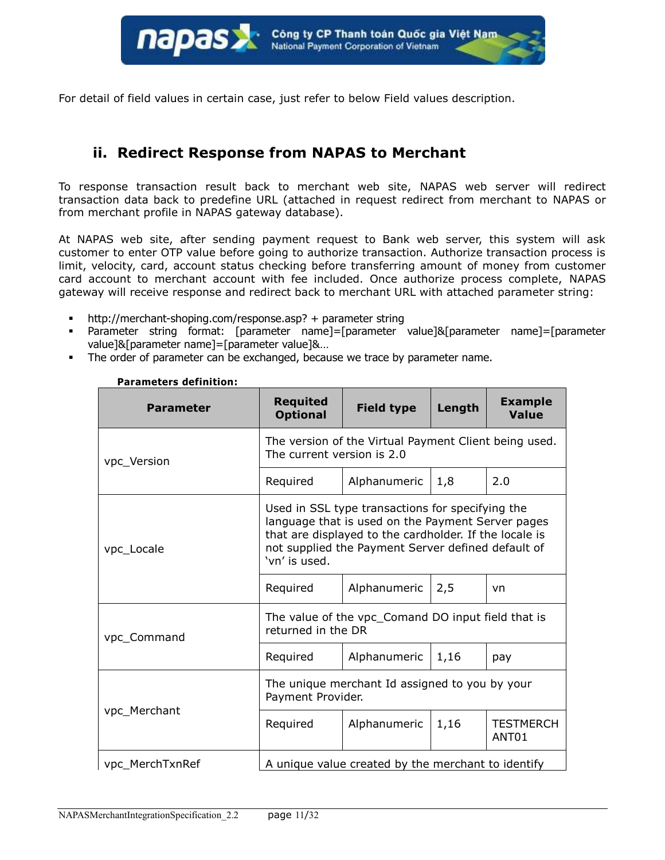

For detail of field values in certain case, just refer to below Field values description.

### <span id="page-10-0"></span>**ii. Redirect Response from NAPAS to Merchant**

To response transaction result back to merchant web site, NAPAS web server will redirect transaction data back to predefine URL (attached in request redirect from merchant to NAPAS or from merchant profile in NAPAS gateway database).

At NAPAS web site, after sending payment request to Bank web server, this system will ask customer to enter OTP value before going to authorize transaction. Authorize transaction process is limit, velocity, card, account status checking before transferring amount of money from customer card account to merchant account with fee included. Once authorize process complete, NAPAS gateway will receive response and redirect back to merchant URL with attached parameter string:

- http://merchant-shoping.com/response.asp? + parameter string
- Parameter string format: [parameter name]=[parameter value]&[parameter name]=[parameter value]&[parameter name]=[parameter value]&…
- The order of parameter can be exchanged, because we trace by parameter name.

| <b>Parameter</b> | <b>Requited</b><br><b>Optional</b>                                                                                                                                                                                                     | <b>Field type</b>                              | Length | <b>Example</b><br><b>Value</b>        |
|------------------|----------------------------------------------------------------------------------------------------------------------------------------------------------------------------------------------------------------------------------------|------------------------------------------------|--------|---------------------------------------|
| vpc_Version      | The version of the Virtual Payment Client being used.<br>The current version is 2.0                                                                                                                                                    |                                                |        |                                       |
|                  | Required                                                                                                                                                                                                                               | Alphanumeric                                   | 1,8    | 2.0                                   |
| vpc_Locale       | Used in SSL type transactions for specifying the<br>language that is used on the Payment Server pages<br>that are displayed to the cardholder. If the locale is<br>not supplied the Payment Server defined default of<br>'vn' is used. |                                                |        |                                       |
|                  | Required                                                                                                                                                                                                                               | Alphanumeric                                   | 2,5    | vn                                    |
| vpc_Command      | The value of the vpc_Comand DO input field that is<br>returned in the DR                                                                                                                                                               |                                                |        |                                       |
|                  | Required                                                                                                                                                                                                                               | Alphanumeric                                   | 1,16   | pay                                   |
|                  | Payment Provider.                                                                                                                                                                                                                      | The unique merchant Id assigned to you by your |        |                                       |
| vpc Merchant     | Required                                                                                                                                                                                                                               | Alphanumeric                                   | 1,16   | <b>TESTMERCH</b><br>ANT <sub>01</sub> |
| vpc_MerchTxnRef  | A unique value created by the merchant to identify                                                                                                                                                                                     |                                                |        |                                       |

**Parameters definition:**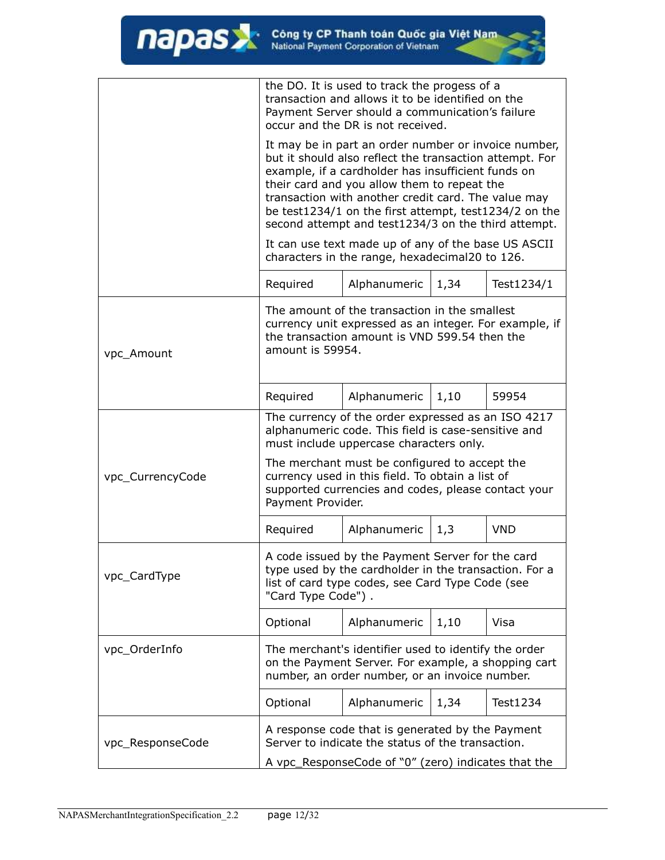|                                                                                                                                                                                                     | the DO. It is used to track the progess of a<br>transaction and allows it to be identified on the<br>Payment Server should a communication's failure<br>occur and the DR is not received.                                                                                                                                                                                                   |                                                                                                       |      |            |
|-----------------------------------------------------------------------------------------------------------------------------------------------------------------------------------------------------|---------------------------------------------------------------------------------------------------------------------------------------------------------------------------------------------------------------------------------------------------------------------------------------------------------------------------------------------------------------------------------------------|-------------------------------------------------------------------------------------------------------|------|------------|
|                                                                                                                                                                                                     | It may be in part an order number or invoice number,<br>but it should also reflect the transaction attempt. For<br>example, if a cardholder has insufficient funds on<br>their card and you allow them to repeat the<br>transaction with another credit card. The value may<br>be test1234/1 on the first attempt, test1234/2 on the<br>second attempt and test1234/3 on the third attempt. |                                                                                                       |      |            |
|                                                                                                                                                                                                     |                                                                                                                                                                                                                                                                                                                                                                                             | It can use text made up of any of the base US ASCII<br>characters in the range, hexadecimal20 to 126. |      |            |
|                                                                                                                                                                                                     | Required                                                                                                                                                                                                                                                                                                                                                                                    | Alphanumeric                                                                                          | 1,34 | Test1234/1 |
| vpc_Amount                                                                                                                                                                                          | The amount of the transaction in the smallest<br>currency unit expressed as an integer. For example, if<br>the transaction amount is VND 599.54 then the<br>amount is 59954.                                                                                                                                                                                                                |                                                                                                       |      |            |
|                                                                                                                                                                                                     | Required                                                                                                                                                                                                                                                                                                                                                                                    | Alphanumeric                                                                                          | 1,10 | 59954      |
|                                                                                                                                                                                                     | The currency of the order expressed as an ISO 4217<br>alphanumeric code. This field is case-sensitive and<br>must include uppercase characters only.                                                                                                                                                                                                                                        |                                                                                                       |      |            |
| vpc_CurrencyCode                                                                                                                                                                                    | The merchant must be configured to accept the<br>currency used in this field. To obtain a list of<br>supported currencies and codes, please contact your<br>Payment Provider.                                                                                                                                                                                                               |                                                                                                       |      |            |
|                                                                                                                                                                                                     | Required                                                                                                                                                                                                                                                                                                                                                                                    | Alphanumeric                                                                                          | 1,3  | VND        |
| A code issued by the Payment Server for the card<br>type used by the cardholder in the transaction. For a<br>vpc_CardType<br>list of card type codes, see Card Type Code (see<br>"Card Type Code"). |                                                                                                                                                                                                                                                                                                                                                                                             |                                                                                                       |      |            |
|                                                                                                                                                                                                     | Optional                                                                                                                                                                                                                                                                                                                                                                                    | Alphanumeric                                                                                          | 1,10 | Visa       |
| vpc_OrderInfo                                                                                                                                                                                       | The merchant's identifier used to identify the order<br>on the Payment Server. For example, a shopping cart<br>number, an order number, or an invoice number.                                                                                                                                                                                                                               |                                                                                                       |      |            |
|                                                                                                                                                                                                     | Optional                                                                                                                                                                                                                                                                                                                                                                                    | Alphanumeric                                                                                          | 1,34 | Test1234   |
| vpc_ResponseCode                                                                                                                                                                                    | A response code that is generated by the Payment<br>Server to indicate the status of the transaction.<br>A vpc_ResponseCode of "0" (zero) indicates that the                                                                                                                                                                                                                                |                                                                                                       |      |            |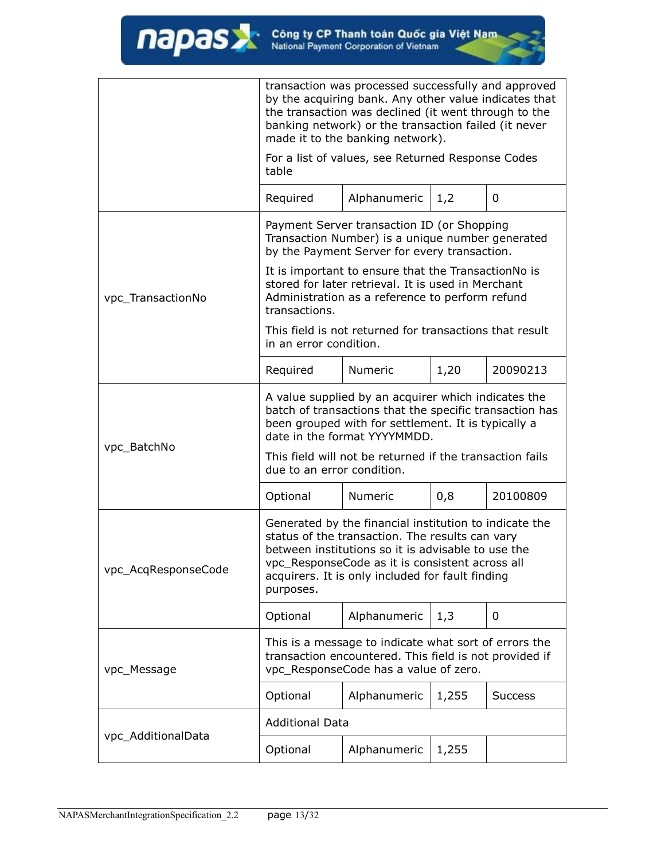|                     | transaction was processed successfully and approved<br>by the acquiring bank. Any other value indicates that<br>the transaction was declined (it went through to the<br>banking network) or the transaction failed (it never<br>made it to the banking network).                    |                                                                                                                                                              |       |                |  |
|---------------------|-------------------------------------------------------------------------------------------------------------------------------------------------------------------------------------------------------------------------------------------------------------------------------------|--------------------------------------------------------------------------------------------------------------------------------------------------------------|-------|----------------|--|
|                     | For a list of values, see Returned Response Codes<br>table                                                                                                                                                                                                                          |                                                                                                                                                              |       |                |  |
|                     | Required                                                                                                                                                                                                                                                                            | Alphanumeric                                                                                                                                                 | 1,2   | 0              |  |
|                     |                                                                                                                                                                                                                                                                                     | Payment Server transaction ID (or Shopping<br>Transaction Number) is a unique number generated<br>by the Payment Server for every transaction.               |       |                |  |
| vpc_TransactionNo   | transactions.                                                                                                                                                                                                                                                                       | It is important to ensure that the TransactionNo is<br>stored for later retrieval. It is used in Merchant<br>Administration as a reference to perform refund |       |                |  |
|                     | This field is not returned for transactions that result<br>in an error condition.                                                                                                                                                                                                   |                                                                                                                                                              |       |                |  |
|                     | Required                                                                                                                                                                                                                                                                            | <b>Numeric</b>                                                                                                                                               | 1,20  | 20090213       |  |
|                     | A value supplied by an acquirer which indicates the<br>batch of transactions that the specific transaction has<br>been grouped with for settlement. It is typically a<br>date in the format YYYYMMDD.                                                                               |                                                                                                                                                              |       |                |  |
| vpc_BatchNo         | This field will not be returned if the transaction fails<br>due to an error condition.                                                                                                                                                                                              |                                                                                                                                                              |       |                |  |
|                     | Optional                                                                                                                                                                                                                                                                            | Numeric                                                                                                                                                      | 0,8   | 20100809       |  |
| vpc_AcqResponseCode | Generated by the financial institution to indicate the<br>status of the transaction. The results can vary<br>between institutions so it is advisable to use the<br>vpc_ResponseCode as it is consistent across all<br>acquirers. It is only included for fault finding<br>purposes. |                                                                                                                                                              |       |                |  |
|                     | Optional                                                                                                                                                                                                                                                                            | Alphanumeric                                                                                                                                                 | 1,3   | 0              |  |
| vpc_Message         |                                                                                                                                                                                                                                                                                     | This is a message to indicate what sort of errors the<br>transaction encountered. This field is not provided if<br>vpc_ResponseCode has a value of zero.     |       |                |  |
|                     | Optional                                                                                                                                                                                                                                                                            | Alphanumeric                                                                                                                                                 | 1,255 | <b>Success</b> |  |
|                     | <b>Additional Data</b>                                                                                                                                                                                                                                                              |                                                                                                                                                              |       |                |  |
| vpc_AdditionalData  | Optional                                                                                                                                                                                                                                                                            | Alphanumeric                                                                                                                                                 | 1,255 |                |  |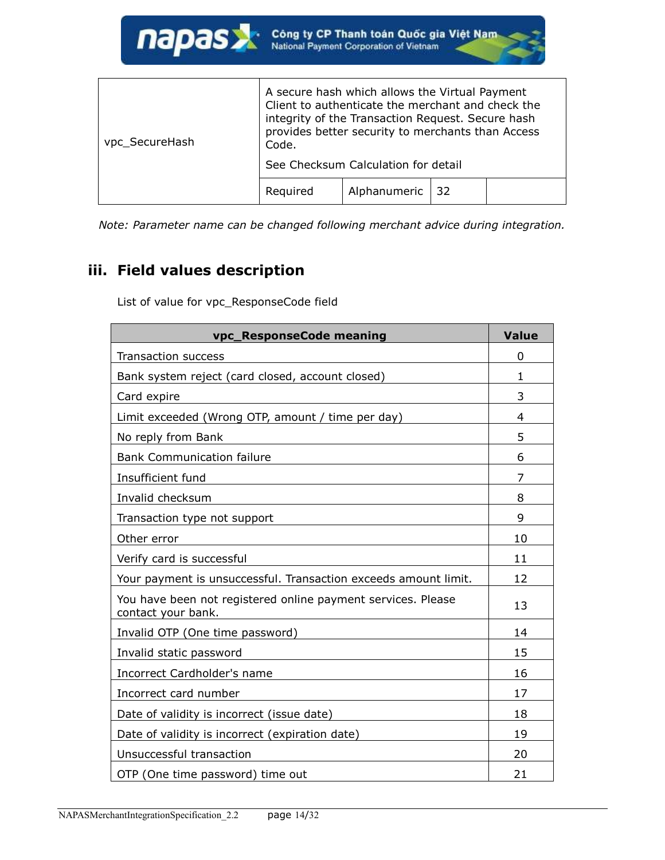| vpc_SecureHash | A secure hash which allows the Virtual Payment<br>Client to authenticate the merchant and check the<br>integrity of the Transaction Request. Secure hash<br>provides better security to merchants than Access<br>Code. |                                     |     |  |
|----------------|------------------------------------------------------------------------------------------------------------------------------------------------------------------------------------------------------------------------|-------------------------------------|-----|--|
|                |                                                                                                                                                                                                                        | See Checksum Calculation for detail |     |  |
|                | Required                                                                                                                                                                                                               | Alphanumeric                        | -32 |  |

*Note: Parameter name can be changed following merchant advice during integration.*

## <span id="page-13-0"></span>**iii. Field values description**

List of value for vpc\_ResponseCode field

| vpc_ResponseCode meaning                                                           | <b>Value</b> |
|------------------------------------------------------------------------------------|--------------|
| <b>Transaction success</b>                                                         | 0            |
| Bank system reject (card closed, account closed)                                   | 1            |
| Card expire                                                                        | 3            |
| Limit exceeded (Wrong OTP, amount / time per day)                                  | 4            |
| No reply from Bank                                                                 | 5            |
| <b>Bank Communication failure</b>                                                  | 6            |
| Insufficient fund                                                                  | 7            |
| Invalid checksum                                                                   | 8            |
| Transaction type not support                                                       | 9            |
| Other error                                                                        | 10           |
| Verify card is successful                                                          | 11           |
| Your payment is unsuccessful. Transaction exceeds amount limit.                    | 12           |
| You have been not registered online payment services. Please<br>contact your bank. | 13           |
| Invalid OTP (One time password)                                                    | 14           |
| Invalid static password                                                            | 15           |
| Incorrect Cardholder's name                                                        | 16           |
| Incorrect card number                                                              | 17           |
| Date of validity is incorrect (issue date)                                         | 18           |
| Date of validity is incorrect (expiration date)                                    | 19           |
| Unsuccessful transaction                                                           | 20           |
| OTP (One time password) time out                                                   | 21           |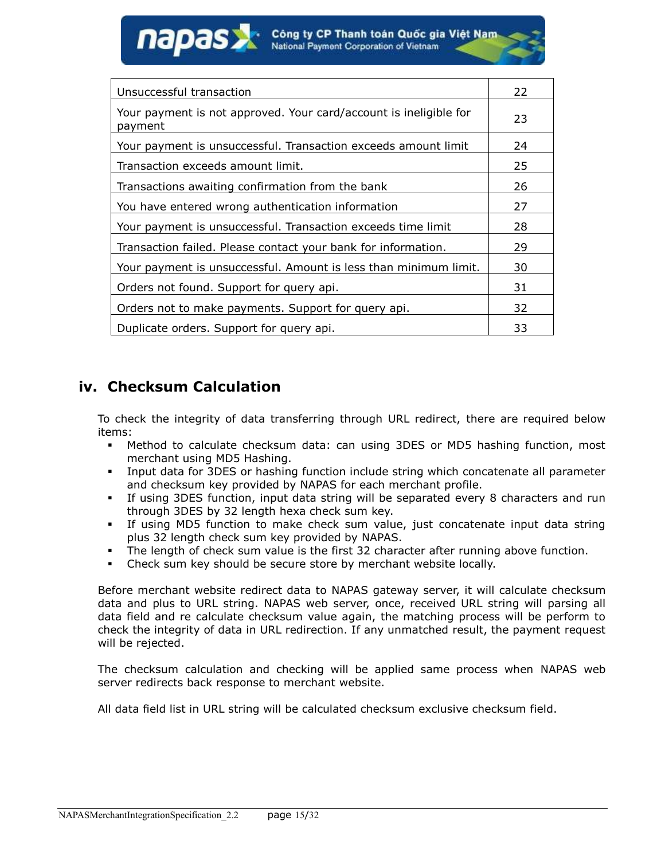| Unsuccessful transaction                                                     | 22 |
|------------------------------------------------------------------------------|----|
| Your payment is not approved. Your card/account is ineligible for<br>payment | 23 |
| Your payment is unsuccessful. Transaction exceeds amount limit               | 24 |
| Transaction exceeds amount limit.                                            | 25 |
| Transactions awaiting confirmation from the bank                             | 26 |
| You have entered wrong authentication information                            | 27 |
| Your payment is unsuccessful. Transaction exceeds time limit                 | 28 |
| Transaction failed. Please contact your bank for information.                | 29 |
| Your payment is unsuccessful. Amount is less than minimum limit.             | 30 |
| Orders not found. Support for query api.                                     | 31 |
| Orders not to make payments. Support for query api.                          | 32 |
| Duplicate orders. Support for query api.                                     | 33 |

### <span id="page-14-0"></span>**iv. Checksum Calculation**

napas

To check the integrity of data transferring through URL redirect, there are required below items:

- Method to calculate checksum data: can using 3DES or MD5 hashing function, most merchant using MD5 Hashing.
- Input data for 3DES or hashing function include string which concatenate all parameter and checksum key provided by NAPAS for each merchant profile.
- If using 3DES function, input data string will be separated every 8 characters and run through 3DES by 32 length hexa check sum key.
- If using MD5 function to make check sum value, just concatenate input data string plus 32 length check sum key provided by NAPAS.
- The length of check sum value is the first 32 character after running above function.
- Check sum key should be secure store by merchant website locally.

Before merchant website redirect data to NAPAS gateway server, it will calculate checksum data and plus to URL string. NAPAS web server, once, received URL string will parsing all data field and re calculate checksum value again, the matching process will be perform to check the integrity of data in URL redirection. If any unmatched result, the payment request will be rejected.

The checksum calculation and checking will be applied same process when NAPAS web server redirects back response to merchant website.

All data field list in URL string will be calculated checksum exclusive checksum field.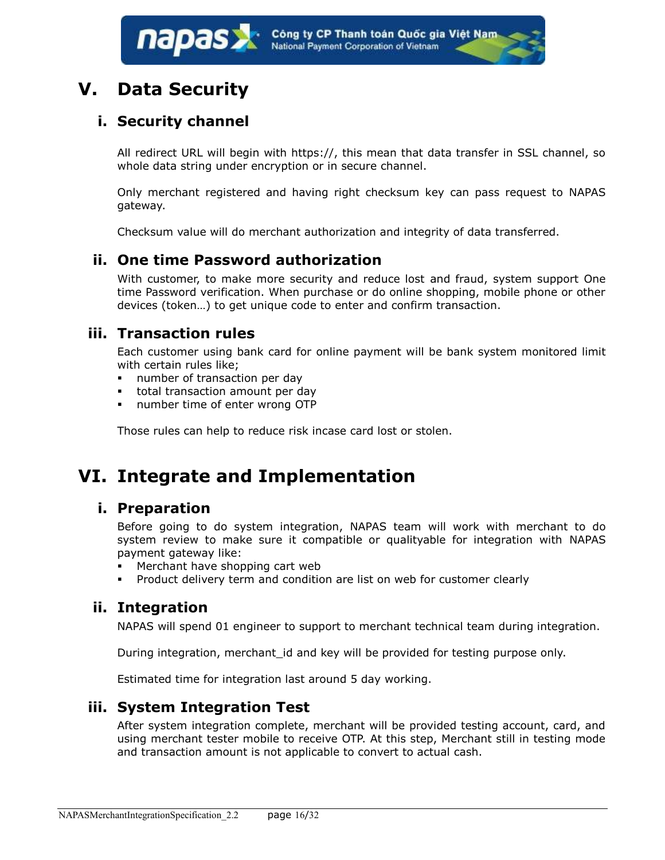## <span id="page-15-1"></span><span id="page-15-0"></span>**V. Data Security**

## **i. Security channel**

All redirect URL will begin with https://, this mean that data transfer in SSL channel, so whole data string under encryption or in secure channel.

Only merchant registered and having right checksum key can pass request to NAPAS gateway.

Checksum value will do merchant authorization and integrity of data transferred.

### <span id="page-15-2"></span>**ii. One time Password authorization**

With customer, to make more security and reduce lost and fraud, system support One time Password verification. When purchase or do online shopping, mobile phone or other devices (token…) to get unique code to enter and confirm transaction.

### <span id="page-15-3"></span>**iii. Transaction rules**

Each customer using bank card for online payment will be bank system monitored limit with certain rules like;

- number of transaction per day
- **total transaction amount per day**
- number time of enter wrong OTP

Those rules can help to reduce risk incase card lost or stolen.

## <span id="page-15-5"></span><span id="page-15-4"></span>**VI. Integrate and Implementation**

### **i. Preparation**

Before going to do system integration, NAPAS team will work with merchant to do system review to make sure it compatible or qualityable for integration with NAPAS payment gateway like:

- Merchant have shopping cart web
- Product delivery term and condition are list on web for customer clearly

### <span id="page-15-6"></span>**ii. Integration**

NAPAS will spend 01 engineer to support to merchant technical team during integration.

During integration, merchant id and key will be provided for testing purpose only.

Estimated time for integration last around 5 day working.

### <span id="page-15-7"></span>**iii. System Integration Test**

After system integration complete, merchant will be provided testing account, card, and using merchant tester mobile to receive OTP. At this step, Merchant still in testing mode and transaction amount is not applicable to convert to actual cash.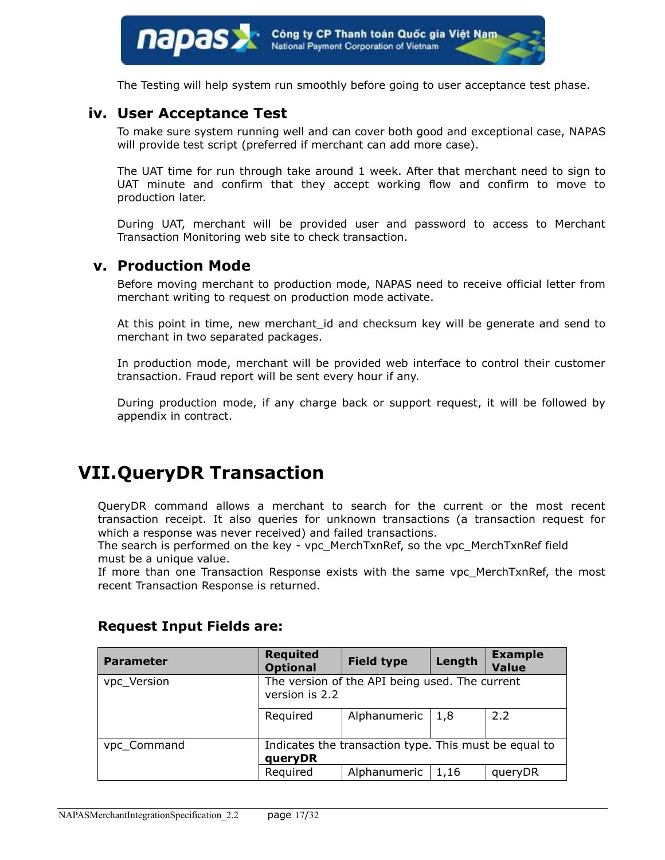The Testing will help system run smoothly before going to user acceptance test phase.

#### <span id="page-16-0"></span>**iv. User Acceptance Test**

To make sure system running well and can cover both good and exceptional case, NAPAS will provide test script (preferred if merchant can add more case).

The UAT time for run through take around 1 week. After that merchant need to sign to UAT minute and confirm that they accept working flow and confirm to move to production later.

During UAT, merchant will be provided user and password to access to Merchant Transaction Monitoring web site to check transaction.

#### <span id="page-16-1"></span>**v. Production Mode**

Before moving merchant to production mode, NAPAS need to receive official letter from merchant writing to request on production mode activate.

At this point in time, new merchant id and checksum key will be generate and send to merchant in two separated packages.

In production mode, merchant will be provided web interface to control their customer transaction. Fraud report will be sent every hour if any.

During production mode, if any charge back or support request, it will be followed by appendix in contract.

## <span id="page-16-2"></span>**VII.QueryDR Transaction**

QueryDR command allows a merchant to search for the current or the most recent transaction receipt. It also queries for unknown transactions (a transaction request for which a response was never received) and failed transactions.

The search is performed on the key - vpc\_MerchTxnRef, so the vpc\_MerchTxnRef field must be a unique value.

If more than one Transaction Response exists with the same vpc\_MerchTxnRef, the most recent Transaction Response is returned.

| <b>Parameter</b>                                                                | <b>Requited</b><br><b>Optional</b>                               | <b>Field type</b> | Length | <b>Example</b><br><b>Value</b> |
|---------------------------------------------------------------------------------|------------------------------------------------------------------|-------------------|--------|--------------------------------|
| The version of the API being used. The current<br>vpc_Version<br>version is 2.2 |                                                                  |                   |        |                                |
|                                                                                 | Required                                                         | Alphanumeric      | 1,8    | 2.2                            |
| vpc_Command                                                                     | Indicates the transaction type. This must be equal to<br>queryDR |                   |        |                                |
|                                                                                 | Required                                                         | Alphanumeric      | 1,16   | queryDR                        |

#### **Request Input Fields are:**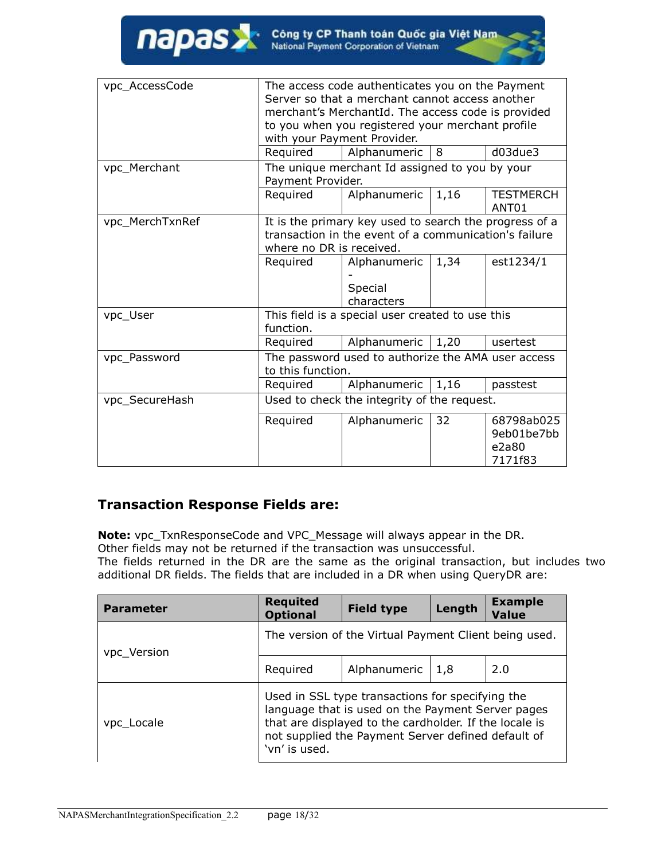| vpc_AccessCode  |                          | The access code authenticates you on the Payment       |      |                                       |
|-----------------|--------------------------|--------------------------------------------------------|------|---------------------------------------|
|                 |                          | Server so that a merchant cannot access another        |      |                                       |
|                 |                          | merchant's MerchantId. The access code is provided     |      |                                       |
|                 |                          | to you when you registered your merchant profile       |      |                                       |
|                 |                          | with your Payment Provider.                            |      |                                       |
|                 | Required                 | Alphanumeric                                           | 8    | d03due3                               |
| vpc_Merchant    |                          | The unique merchant Id assigned to you by your         |      |                                       |
|                 | Payment Provider.        |                                                        |      |                                       |
|                 | Required                 | Alphanumeric                                           | 1,16 | <b>TESTMERCH</b><br>ANT <sub>01</sub> |
| vpc_MerchTxnRef |                          | It is the primary key used to search the progress of a |      |                                       |
|                 |                          | transaction in the event of a communication's failure  |      |                                       |
|                 | where no DR is received. |                                                        |      |                                       |
|                 | Required                 | Alphanumeric                                           | 1,34 | est1234/1                             |
|                 |                          |                                                        |      |                                       |
|                 |                          | Special                                                |      |                                       |
|                 |                          | characters                                             |      |                                       |
| vpc_User        |                          | This field is a special user created to use this       |      |                                       |
|                 | function.                |                                                        |      |                                       |
|                 | Required                 | Alphanumeric                                           | 1,20 | usertest                              |
| vpc Password    |                          | The password used to authorize the AMA user access     |      |                                       |
|                 | to this function.        |                                                        |      |                                       |
|                 | Required                 | Alphanumeric                                           | 1,16 | passtest                              |
| vpc_SecureHash  |                          | Used to check the integrity of the request.            |      |                                       |
|                 | Required                 | Alphanumeric                                           | 32   | 68798ab025                            |
|                 |                          |                                                        |      | 9eb01be7bb                            |
|                 |                          |                                                        |      | e2a80                                 |
|                 |                          |                                                        |      | 7171f83                               |

#### **Transaction Response Fields are:**

**Note:** vpc\_TxnResponseCode and VPC\_Message will always appear in the DR. Other fields may not be returned if the transaction was unsuccessful.

The fields returned in the DR are the same as the original transaction, but includes two additional DR fields. The fields that are included in a DR when using QueryDR are:

| <b>Parameter</b> | <b>Requited</b><br><b>Optional</b>                                                                                                                                                                                                     | <b>Field type</b> | Length | <b>Example</b><br><b>Value</b> |
|------------------|----------------------------------------------------------------------------------------------------------------------------------------------------------------------------------------------------------------------------------------|-------------------|--------|--------------------------------|
| vpc_Version      | The version of the Virtual Payment Client being used.                                                                                                                                                                                  |                   |        |                                |
|                  | Required                                                                                                                                                                                                                               | Alphanumeric      | 1.8    | 2.0                            |
| vpc Locale       | Used in SSL type transactions for specifying the<br>language that is used on the Payment Server pages<br>that are displayed to the cardholder. If the locale is<br>not supplied the Payment Server defined default of<br>'vn' is used. |                   |        |                                |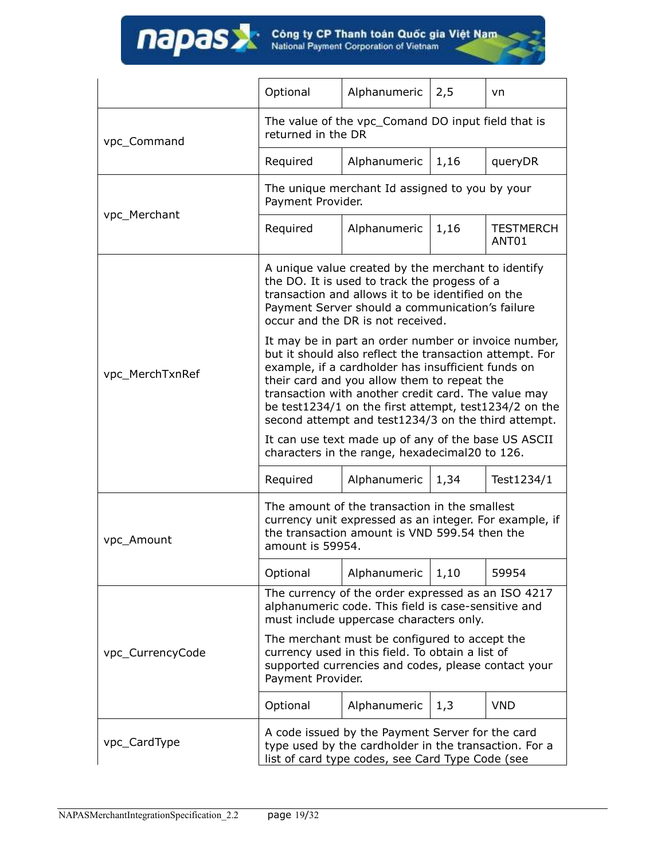|                  | Optional                                                                                                                                                                                                                                                                                                                                                                                    | Alphanumeric                                                                                                                                             | 2,5  | vn                        |  |
|------------------|---------------------------------------------------------------------------------------------------------------------------------------------------------------------------------------------------------------------------------------------------------------------------------------------------------------------------------------------------------------------------------------------|----------------------------------------------------------------------------------------------------------------------------------------------------------|------|---------------------------|--|
| vpc_Command      | The value of the vpc_Comand DO input field that is<br>returned in the DR                                                                                                                                                                                                                                                                                                                    |                                                                                                                                                          |      |                           |  |
|                  | Required                                                                                                                                                                                                                                                                                                                                                                                    | Alphanumeric                                                                                                                                             | 1,16 | queryDR                   |  |
| vpc Merchant     | Payment Provider.                                                                                                                                                                                                                                                                                                                                                                           | The unique merchant Id assigned to you by your                                                                                                           |      |                           |  |
|                  | Required                                                                                                                                                                                                                                                                                                                                                                                    | Alphanumeric                                                                                                                                             | 1,16 | <b>TESTMERCH</b><br>ANT01 |  |
|                  | A unique value created by the merchant to identify<br>the DO. It is used to track the progess of a<br>transaction and allows it to be identified on the<br>Payment Server should a communication's failure<br>occur and the DR is not received.                                                                                                                                             |                                                                                                                                                          |      |                           |  |
| vpc_MerchTxnRef  | It may be in part an order number or invoice number,<br>but it should also reflect the transaction attempt. For<br>example, if a cardholder has insufficient funds on<br>their card and you allow them to repeat the<br>transaction with another credit card. The value may<br>be test1234/1 on the first attempt, test1234/2 on the<br>second attempt and test1234/3 on the third attempt. |                                                                                                                                                          |      |                           |  |
|                  | It can use text made up of any of the base US ASCII<br>characters in the range, hexadecimal20 to 126.                                                                                                                                                                                                                                                                                       |                                                                                                                                                          |      |                           |  |
|                  | Required                                                                                                                                                                                                                                                                                                                                                                                    | Alphanumeric                                                                                                                                             | 1,34 | Test1234/1                |  |
| vpc_Amount       | The amount of the transaction in the smallest<br>currency unit expressed as an integer. For example, if<br>the transaction amount is VND 599.54 then the<br>amount is 59954.                                                                                                                                                                                                                |                                                                                                                                                          |      |                           |  |
|                  | Optional                                                                                                                                                                                                                                                                                                                                                                                    | Alphanumeric                                                                                                                                             | 1,10 | 59954                     |  |
|                  | The currency of the order expressed as an ISO 4217<br>alphanumeric code. This field is case-sensitive and<br>must include uppercase characters only.                                                                                                                                                                                                                                        |                                                                                                                                                          |      |                           |  |
| vpc_CurrencyCode | Payment Provider.                                                                                                                                                                                                                                                                                                                                                                           | The merchant must be configured to accept the<br>currency used in this field. To obtain a list of<br>supported currencies and codes, please contact your |      |                           |  |
|                  | Optional                                                                                                                                                                                                                                                                                                                                                                                    | Alphanumeric                                                                                                                                             | 1,3  | <b>VND</b>                |  |
| vpc_CardType     | A code issued by the Payment Server for the card<br>type used by the cardholder in the transaction. For a<br>list of card type codes, see Card Type Code (see                                                                                                                                                                                                                               |                                                                                                                                                          |      |                           |  |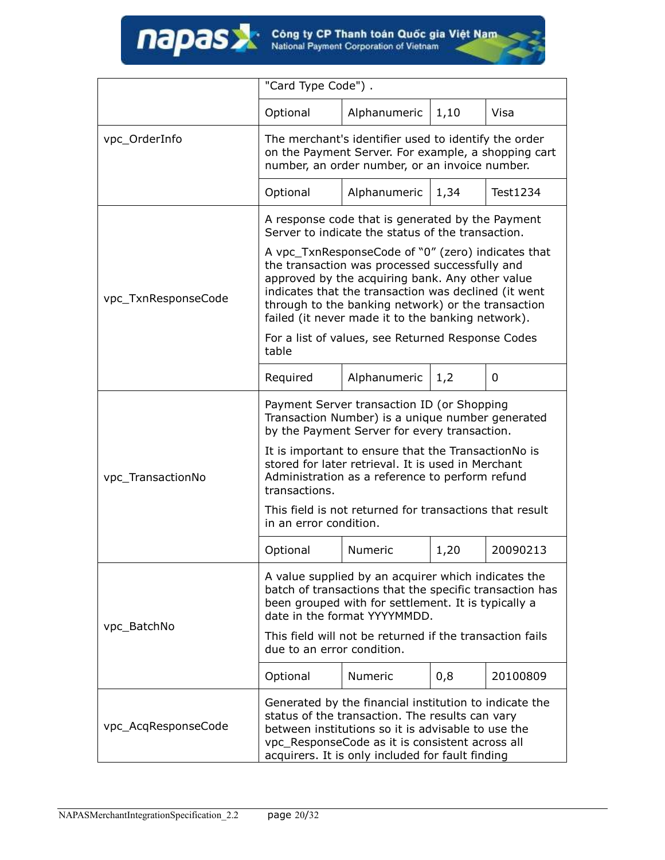

|                                                  | "Card Type Code").                                                                                                                                                                                                                                                                                                         |                                                                                                       |      |          |
|--------------------------------------------------|----------------------------------------------------------------------------------------------------------------------------------------------------------------------------------------------------------------------------------------------------------------------------------------------------------------------------|-------------------------------------------------------------------------------------------------------|------|----------|
|                                                  | Optional                                                                                                                                                                                                                                                                                                                   | Alphanumeric                                                                                          | 1,10 | Visa     |
| vpc_OrderInfo                                    | The merchant's identifier used to identify the order<br>on the Payment Server. For example, a shopping cart<br>number, an order number, or an invoice number.                                                                                                                                                              |                                                                                                       |      |          |
|                                                  | Optional                                                                                                                                                                                                                                                                                                                   | Alphanumeric                                                                                          | 1,34 | Test1234 |
|                                                  |                                                                                                                                                                                                                                                                                                                            | A response code that is generated by the Payment<br>Server to indicate the status of the transaction. |      |          |
| vpc_TxnResponseCode                              | A vpc_TxnResponseCode of "0" (zero) indicates that<br>the transaction was processed successfully and<br>approved by the acquiring bank. Any other value<br>indicates that the transaction was declined (it went<br>through to the banking network) or the transaction<br>failed (it never made it to the banking network). |                                                                                                       |      |          |
|                                                  | table                                                                                                                                                                                                                                                                                                                      | For a list of values, see Returned Response Codes                                                     |      |          |
|                                                  | Required                                                                                                                                                                                                                                                                                                                   | Alphanumeric                                                                                          | 1,2  | 0        |
|                                                  | Payment Server transaction ID (or Shopping<br>Transaction Number) is a unique number generated<br>by the Payment Server for every transaction.                                                                                                                                                                             |                                                                                                       |      |          |
| vpc_TransactionNo                                | It is important to ensure that the TransactionNo is<br>stored for later retrieval. It is used in Merchant<br>Administration as a reference to perform refund<br>transactions.                                                                                                                                              |                                                                                                       |      |          |
|                                                  | This field is not returned for transactions that result<br>in an error condition.                                                                                                                                                                                                                                          |                                                                                                       |      |          |
|                                                  | Optional                                                                                                                                                                                                                                                                                                                   | <b>Numeric</b>                                                                                        | 1,20 | 20090213 |
|                                                  | A value supplied by an acquirer which indicates the<br>batch of transactions that the specific transaction has<br>been grouped with for settlement. It is typically a<br>date in the format YYYYMMDD.                                                                                                                      |                                                                                                       |      |          |
| vpc_BatchNo                                      | due to an error condition.                                                                                                                                                                                                                                                                                                 | This field will not be returned if the transaction fails                                              |      |          |
|                                                  | Optional                                                                                                                                                                                                                                                                                                                   | <b>Numeric</b>                                                                                        | 0,8  | 20100809 |
| vpc_AcqResponseCode                              | Generated by the financial institution to indicate the<br>status of the transaction. The results can vary<br>between institutions so it is advisable to use the<br>vpc_ResponseCode as it is consistent across all                                                                                                         |                                                                                                       |      |          |
| acquirers. It is only included for fault finding |                                                                                                                                                                                                                                                                                                                            |                                                                                                       |      |          |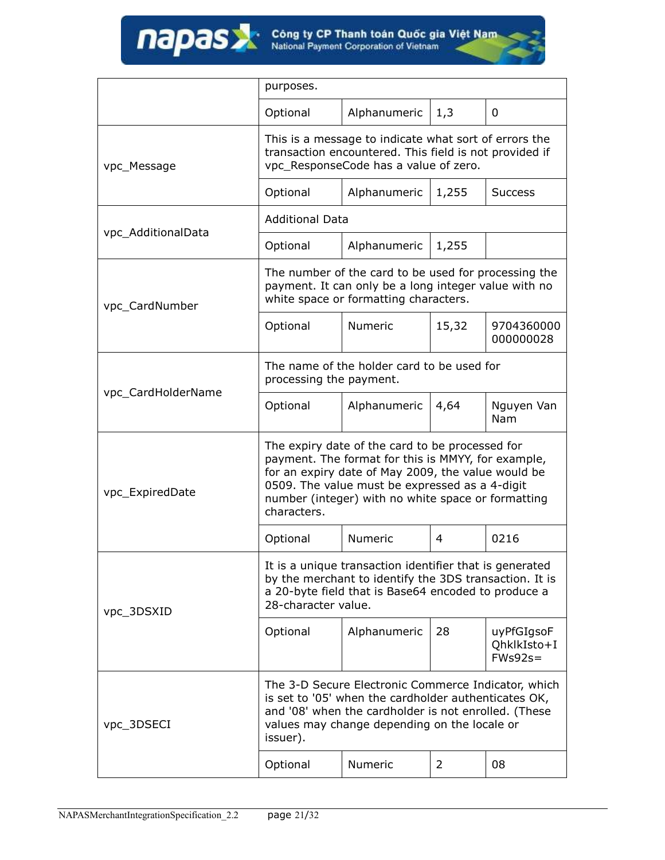|                    | purposes.                                                                                                                                                                                                                                                                          |                                                                                                                                                       |       |                                         |  |
|--------------------|------------------------------------------------------------------------------------------------------------------------------------------------------------------------------------------------------------------------------------------------------------------------------------|-------------------------------------------------------------------------------------------------------------------------------------------------------|-------|-----------------------------------------|--|
|                    |                                                                                                                                                                                                                                                                                    |                                                                                                                                                       |       |                                         |  |
|                    | Optional                                                                                                                                                                                                                                                                           | Alphanumeric                                                                                                                                          | 1,3   | 0                                       |  |
| vpc_Message        | This is a message to indicate what sort of errors the<br>transaction encountered. This field is not provided if<br>vpc_ResponseCode has a value of zero.                                                                                                                           |                                                                                                                                                       |       |                                         |  |
|                    | Optional                                                                                                                                                                                                                                                                           | Alphanumeric                                                                                                                                          | 1,255 | <b>Success</b>                          |  |
| vpc_AdditionalData | <b>Additional Data</b>                                                                                                                                                                                                                                                             |                                                                                                                                                       |       |                                         |  |
|                    | Optional                                                                                                                                                                                                                                                                           | Alphanumeric                                                                                                                                          | 1,255 |                                         |  |
| vpc_CardNumber     |                                                                                                                                                                                                                                                                                    | The number of the card to be used for processing the<br>payment. It can only be a long integer value with no<br>white space or formatting characters. |       |                                         |  |
|                    | Optional                                                                                                                                                                                                                                                                           | <b>Numeric</b>                                                                                                                                        | 15,32 | 9704360000<br>000000028                 |  |
| vpc_CardHolderName | The name of the holder card to be used for<br>processing the payment.                                                                                                                                                                                                              |                                                                                                                                                       |       |                                         |  |
|                    | Optional                                                                                                                                                                                                                                                                           | Alphanumeric                                                                                                                                          | 4,64  | Nguyen Van<br><b>Nam</b>                |  |
| vpc_ExpiredDate    | The expiry date of the card to be processed for<br>payment. The format for this is MMYY, for example,<br>for an expiry date of May 2009, the value would be<br>0509. The value must be expressed as a 4-digit<br>number (integer) with no white space or formatting<br>characters. |                                                                                                                                                       |       |                                         |  |
|                    | Optional                                                                                                                                                                                                                                                                           | <b>Numeric</b>                                                                                                                                        | 4     | 0216                                    |  |
| vpc_3DSXID         | It is a unique transaction identifier that is generated<br>by the merchant to identify the 3DS transaction. It is<br>a 20-byte field that is Base64 encoded to produce a<br>28-character value.                                                                                    |                                                                                                                                                       |       |                                         |  |
|                    | Optional                                                                                                                                                                                                                                                                           | Alphanumeric                                                                                                                                          | 28    | uyPfGIgsoF<br>QhklkIsto+I<br>$FWs92s =$ |  |
| vpc_3DSECI         | The 3-D Secure Electronic Commerce Indicator, which<br>is set to '05' when the cardholder authenticates OK,<br>and '08' when the cardholder is not enrolled. (These<br>values may change depending on the locale or<br>issuer).                                                    |                                                                                                                                                       |       |                                         |  |
|                    | Optional                                                                                                                                                                                                                                                                           | Numeric                                                                                                                                               | 2     | 08                                      |  |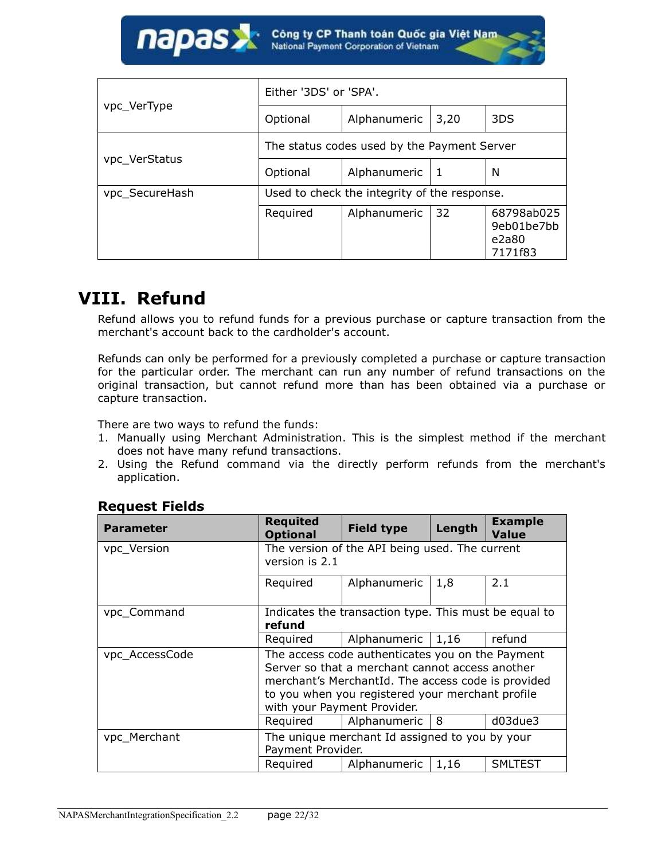

| vpc_VerType    | Either '3DS' or 'SPA'.                       |              |              |                                              |
|----------------|----------------------------------------------|--------------|--------------|----------------------------------------------|
|                | Optional                                     | Alphanumeric | 3,20         | 3DS                                          |
| vpc_VerStatus  | The status codes used by the Payment Server  |              |              |                                              |
|                | Optional                                     | Alphanumeric | $\mathbf{1}$ | N                                            |
| vpc_SecureHash | Used to check the integrity of the response. |              |              |                                              |
|                | Required                                     | Alphanumeric | 32           | 68798ab025<br>9eb01be7bb<br>e2a80<br>7171f83 |

## <span id="page-21-0"></span>**VIII. Refund**

Refund allows you to refund funds for a previous purchase or capture transaction from the merchant's account back to the cardholder's account.

Refunds can only be performed for a previously completed a purchase or capture transaction for the particular order. The merchant can run any number of refund transactions on the original transaction, but cannot refund more than has been obtained via a purchase or capture transaction.

There are two ways to refund the funds:

- 1. Manually using Merchant Administration. This is the simplest method if the merchant does not have many refund transactions.
- 2. Using the Refund command via the directly perform refunds from the merchant's application.

#### **Request Fields**

| <b>Parameter</b> | <b>Requited</b><br><b>Optional</b>                                                                                                                                                                                                           | <b>Field type</b> | Length | <b>Example</b><br><b>Value</b> |
|------------------|----------------------------------------------------------------------------------------------------------------------------------------------------------------------------------------------------------------------------------------------|-------------------|--------|--------------------------------|
| vpc_Version      | The version of the API being used. The current<br>version is 2.1                                                                                                                                                                             |                   |        |                                |
|                  | Required                                                                                                                                                                                                                                     | Alphanumeric      | 1,8    | 2.1                            |
| vpc_Command      | Indicates the transaction type. This must be equal to<br>refund                                                                                                                                                                              |                   |        |                                |
|                  | Required                                                                                                                                                                                                                                     | Alphanumeric      | 1,16   | refund                         |
| vpc_AccessCode   | The access code authenticates you on the Payment<br>Server so that a merchant cannot access another<br>merchant's MerchantId. The access code is provided<br>to you when you registered your merchant profile<br>with your Payment Provider. |                   |        |                                |
|                  | Required                                                                                                                                                                                                                                     | Alphanumeric      | 8      | d03due3                        |
| vpc_Merchant     | The unique merchant Id assigned to you by your<br>Payment Provider.                                                                                                                                                                          |                   |        |                                |
|                  | Required                                                                                                                                                                                                                                     | Alphanumeric      | 1,16   | <b>SMLTEST</b>                 |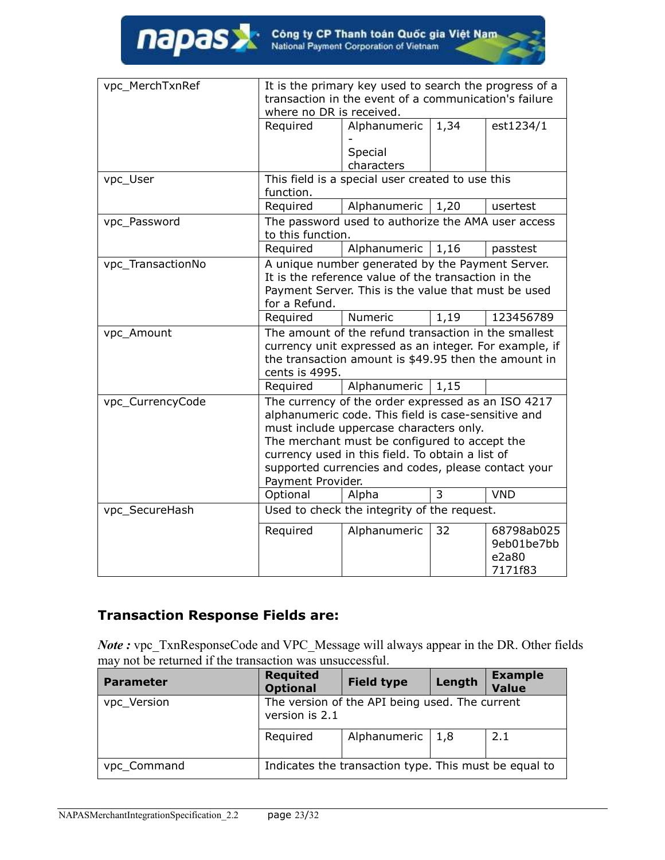| vpc MerchTxnRef   | It is the primary key used to search the progress of a<br>transaction in the event of a communication's failure<br>where no DR is received.                                                                                                                                                                                           |                                                  |                |                                              |
|-------------------|---------------------------------------------------------------------------------------------------------------------------------------------------------------------------------------------------------------------------------------------------------------------------------------------------------------------------------------|--------------------------------------------------|----------------|----------------------------------------------|
|                   | Required                                                                                                                                                                                                                                                                                                                              | Alphanumeric                                     | 1,34           | est1234/1                                    |
|                   |                                                                                                                                                                                                                                                                                                                                       |                                                  |                |                                              |
|                   |                                                                                                                                                                                                                                                                                                                                       | Special<br>characters                            |                |                                              |
| vpc_User          | function.                                                                                                                                                                                                                                                                                                                             | This field is a special user created to use this |                |                                              |
|                   | Required                                                                                                                                                                                                                                                                                                                              | Alphanumeric                                     | 1,20           | usertest                                     |
| vpc_Password      | The password used to authorize the AMA user access<br>to this function.                                                                                                                                                                                                                                                               |                                                  |                |                                              |
|                   | Required                                                                                                                                                                                                                                                                                                                              | Alphanumeric                                     | 1,16           | passtest                                     |
| vpc_TransactionNo | A unique number generated by the Payment Server.<br>It is the reference value of the transaction in the<br>Payment Server. This is the value that must be used<br>for a Refund.                                                                                                                                                       |                                                  |                |                                              |
|                   | Required                                                                                                                                                                                                                                                                                                                              | Numeric                                          | 1,19           | 123456789                                    |
| vpc_Amount        | The amount of the refund transaction in the smallest<br>currency unit expressed as an integer. For example, if<br>the transaction amount is \$49.95 then the amount in<br>cents is 4995.                                                                                                                                              |                                                  |                |                                              |
|                   | Required                                                                                                                                                                                                                                                                                                                              | Alphanumeric                                     | 1,15           |                                              |
| vpc_CurrencyCode  | The currency of the order expressed as an ISO 4217<br>alphanumeric code. This field is case-sensitive and<br>must include uppercase characters only.<br>The merchant must be configured to accept the<br>currency used in this field. To obtain a list of<br>supported currencies and codes, please contact your<br>Payment Provider. |                                                  |                |                                              |
|                   | Optional                                                                                                                                                                                                                                                                                                                              | Alpha                                            | $\overline{3}$ | <b>VND</b>                                   |
| vpc_SecureHash    |                                                                                                                                                                                                                                                                                                                                       | Used to check the integrity of the request.      |                |                                              |
|                   | Required                                                                                                                                                                                                                                                                                                                              | Alphanumeric                                     | 32             | 68798ab025<br>9eb01be7bb<br>e2a80<br>7171f83 |

### **Transaction Response Fields are:**

*Note :* vpc\_TxnResponseCode and VPC\_Message will always appear in the DR. Other fields may not be returned if the transaction was unsuccessful.

| <b>Parameter</b> | <b>Requited</b><br><b>Optional</b>                               | <b>Field type</b>                                     | Length | <b>Example</b><br><b>Value</b> |
|------------------|------------------------------------------------------------------|-------------------------------------------------------|--------|--------------------------------|
| vpc_Version      | The version of the API being used. The current<br>version is 2.1 |                                                       |        |                                |
|                  | Required                                                         | Alphanumeric                                          | 1,8    | 2.1                            |
| vpc_Command      |                                                                  | Indicates the transaction type. This must be equal to |        |                                |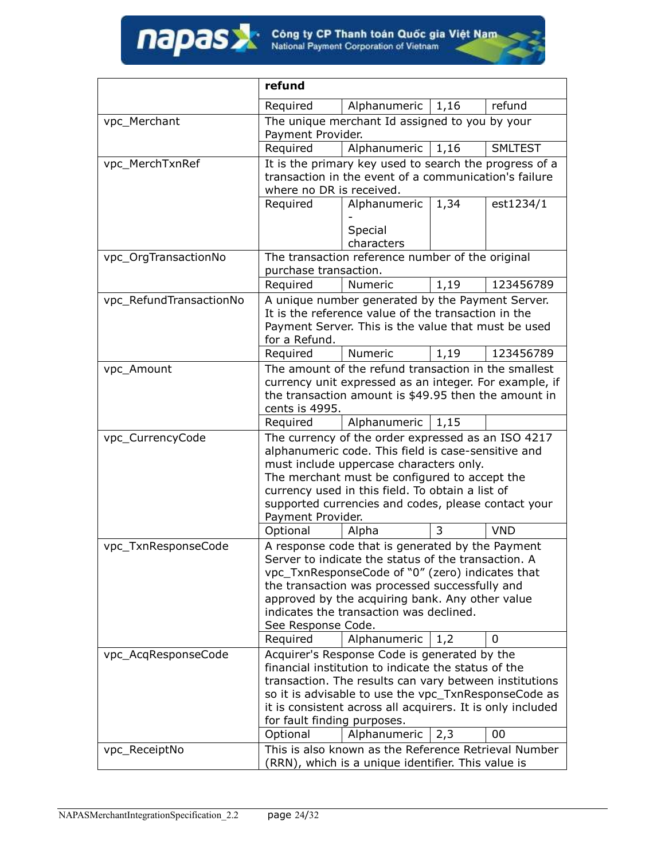|                         | refund                                                                                                                                                                                                                                                                                                                                                                    |                                                                                                                                                                                                                                                     |      |                |
|-------------------------|---------------------------------------------------------------------------------------------------------------------------------------------------------------------------------------------------------------------------------------------------------------------------------------------------------------------------------------------------------------------------|-----------------------------------------------------------------------------------------------------------------------------------------------------------------------------------------------------------------------------------------------------|------|----------------|
|                         | Required                                                                                                                                                                                                                                                                                                                                                                  | Alphanumeric                                                                                                                                                                                                                                        | 1,16 | refund         |
| vpc_Merchant            | Payment Provider.                                                                                                                                                                                                                                                                                                                                                         | The unique merchant Id assigned to you by your                                                                                                                                                                                                      |      |                |
|                         | Required                                                                                                                                                                                                                                                                                                                                                                  | Alphanumeric                                                                                                                                                                                                                                        | 1,16 | <b>SMLTEST</b> |
| vpc_MerchTxnRef         | where no DR is received.                                                                                                                                                                                                                                                                                                                                                  | It is the primary key used to search the progress of a<br>transaction in the event of a communication's failure                                                                                                                                     |      |                |
|                         | Required                                                                                                                                                                                                                                                                                                                                                                  | Alphanumeric                                                                                                                                                                                                                                        | 1,34 | est1234/1      |
|                         |                                                                                                                                                                                                                                                                                                                                                                           | Special<br>characters                                                                                                                                                                                                                               |      |                |
| vpc_OrgTransactionNo    | purchase transaction.                                                                                                                                                                                                                                                                                                                                                     | The transaction reference number of the original                                                                                                                                                                                                    |      |                |
|                         | Required                                                                                                                                                                                                                                                                                                                                                                  | Numeric                                                                                                                                                                                                                                             | 1,19 | 123456789      |
| vpc_RefundTransactionNo | A unique number generated by the Payment Server.<br>It is the reference value of the transaction in the<br>Payment Server. This is the value that must be used<br>for a Refund.                                                                                                                                                                                           |                                                                                                                                                                                                                                                     |      |                |
|                         | Required                                                                                                                                                                                                                                                                                                                                                                  | <b>Numeric</b>                                                                                                                                                                                                                                      | 1,19 | 123456789      |
| vpc_Amount              | The amount of the refund transaction in the smallest<br>currency unit expressed as an integer. For example, if<br>the transaction amount is \$49.95 then the amount in<br>cents is 4995.<br>Alphanumeric<br>Required<br>1,15                                                                                                                                              |                                                                                                                                                                                                                                                     |      |                |
| vpc_CurrencyCode        |                                                                                                                                                                                                                                                                                                                                                                           |                                                                                                                                                                                                                                                     |      |                |
|                         | The currency of the order expressed as an ISO 4217<br>alphanumeric code. This field is case-sensitive and<br>must include uppercase characters only.<br>The merchant must be configured to accept the<br>currency used in this field. To obtain a list of<br>supported currencies and codes, please contact your<br>Payment Provider.                                     |                                                                                                                                                                                                                                                     |      |                |
|                         | Optional                                                                                                                                                                                                                                                                                                                                                                  | Alpha                                                                                                                                                                                                                                               | 3    | <b>VND</b>     |
| vpc_TxnResponseCode     | A response code that is generated by the Payment<br>Server to indicate the status of the transaction. A<br>vpc_TxnResponseCode of "0" (zero) indicates that<br>the transaction was processed successfully and<br>approved by the acquiring bank. Any other value<br>indicates the transaction was declined.<br>See Response Code.<br>Alphanumeric<br>Required<br>0<br>1,2 |                                                                                                                                                                                                                                                     |      |                |
| vpc_AcqResponseCode     |                                                                                                                                                                                                                                                                                                                                                                           | Acquirer's Response Code is generated by the                                                                                                                                                                                                        |      |                |
|                         | for fault finding purposes.<br>Optional                                                                                                                                                                                                                                                                                                                                   | financial institution to indicate the status of the<br>transaction. The results can vary between institutions<br>so it is advisable to use the vpc_TxnResponseCode as<br>it is consistent across all acquirers. It is only included<br>Alphanumeric | 2,3  | 00             |
| vpc_ReceiptNo           |                                                                                                                                                                                                                                                                                                                                                                           | This is also known as the Reference Retrieval Number                                                                                                                                                                                                |      |                |
|                         |                                                                                                                                                                                                                                                                                                                                                                           | (RRN), which is a unique identifier. This value is                                                                                                                                                                                                  |      |                |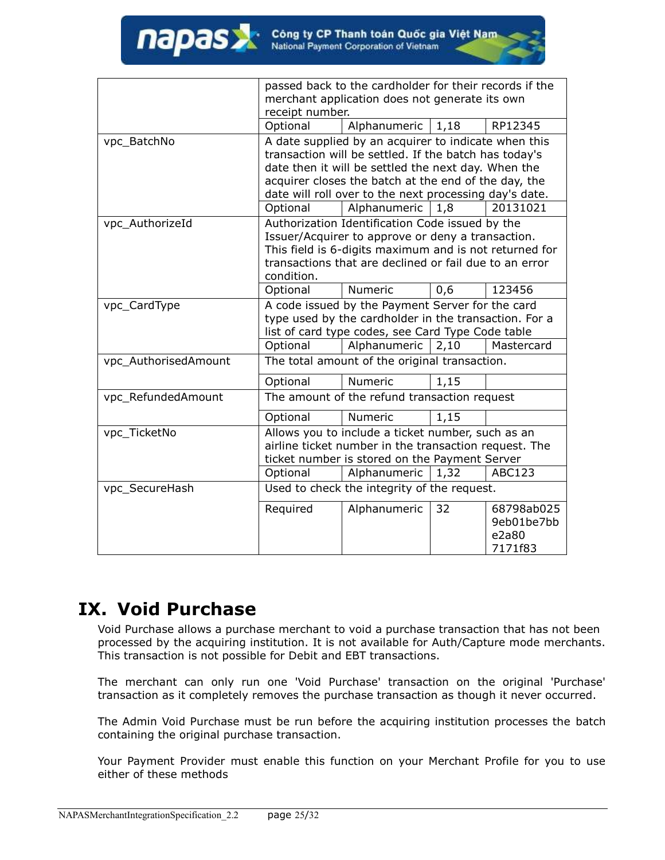|                      | passed back to the cardholder for their records if the                                                                                                                                                                                 |                                                                                                                                                             |      |                                              |
|----------------------|----------------------------------------------------------------------------------------------------------------------------------------------------------------------------------------------------------------------------------------|-------------------------------------------------------------------------------------------------------------------------------------------------------------|------|----------------------------------------------|
|                      |                                                                                                                                                                                                                                        | merchant application does not generate its own                                                                                                              |      |                                              |
|                      | receipt number.                                                                                                                                                                                                                        |                                                                                                                                                             |      |                                              |
|                      | Optional                                                                                                                                                                                                                               | Alphanumeric $ 1,18$                                                                                                                                        |      | RP12345                                      |
| vpc_BatchNo          | A date supplied by an acquirer to indicate when this<br>transaction will be settled. If the batch has today's<br>date then it will be settled the next day. When the<br>acquirer closes the batch at the end of the day, the           |                                                                                                                                                             |      |                                              |
|                      |                                                                                                                                                                                                                                        | date will roll over to the next processing day's date.                                                                                                      |      |                                              |
|                      | Optional                                                                                                                                                                                                                               | Alphanumeric                                                                                                                                                | 1,8  | 20131021                                     |
| vpc AuthorizeId      | Authorization Identification Code issued by the<br>Issuer/Acquirer to approve or deny a transaction.<br>This field is 6-digits maximum and is not returned for<br>transactions that are declined or fail due to an error<br>condition. |                                                                                                                                                             |      |                                              |
|                      | Optional                                                                                                                                                                                                                               | Numeric                                                                                                                                                     | 0,6  | 123456                                       |
| vpc_CardType         | A code issued by the Payment Server for the card<br>type used by the cardholder in the transaction. For a<br>list of card type codes, see Card Type Code table                                                                         |                                                                                                                                                             |      |                                              |
|                      | Optional                                                                                                                                                                                                                               | Alphanumeric                                                                                                                                                | 2,10 | Mastercard                                   |
| vpc_AuthorisedAmount |                                                                                                                                                                                                                                        | The total amount of the original transaction.                                                                                                               |      |                                              |
|                      | Optional                                                                                                                                                                                                                               | Numeric                                                                                                                                                     | 1,15 |                                              |
| vpc_RefundedAmount   |                                                                                                                                                                                                                                        | The amount of the refund transaction request                                                                                                                |      |                                              |
|                      | Optional                                                                                                                                                                                                                               | Numeric                                                                                                                                                     | 1,15 |                                              |
| vpc_TicketNo         |                                                                                                                                                                                                                                        | Allows you to include a ticket number, such as an<br>airline ticket number in the transaction request. The<br>ticket number is stored on the Payment Server |      |                                              |
|                      | Optional                                                                                                                                                                                                                               | Alphanumeric                                                                                                                                                | 1,32 | <b>ABC123</b>                                |
| vpc_SecureHash       |                                                                                                                                                                                                                                        | Used to check the integrity of the request.                                                                                                                 |      |                                              |
|                      | Required                                                                                                                                                                                                                               | Alphanumeric                                                                                                                                                | 32   | 68798ab025<br>9eb01be7bb<br>e2a80<br>7171f83 |

## <span id="page-24-0"></span>**IX. Void Purchase**

napas

Void Purchase allows a purchase merchant to void a purchase transaction that has not been processed by the acquiring institution. It is not available for Auth/Capture mode merchants. This transaction is not possible for Debit and EBT transactions.

The merchant can only run one 'Void Purchase' transaction on the original 'Purchase' transaction as it completely removes the purchase transaction as though it never occurred.

The Admin Void Purchase must be run before the acquiring institution processes the batch containing the original purchase transaction.

Your Payment Provider must enable this function on your Merchant Profile for you to use either of these methods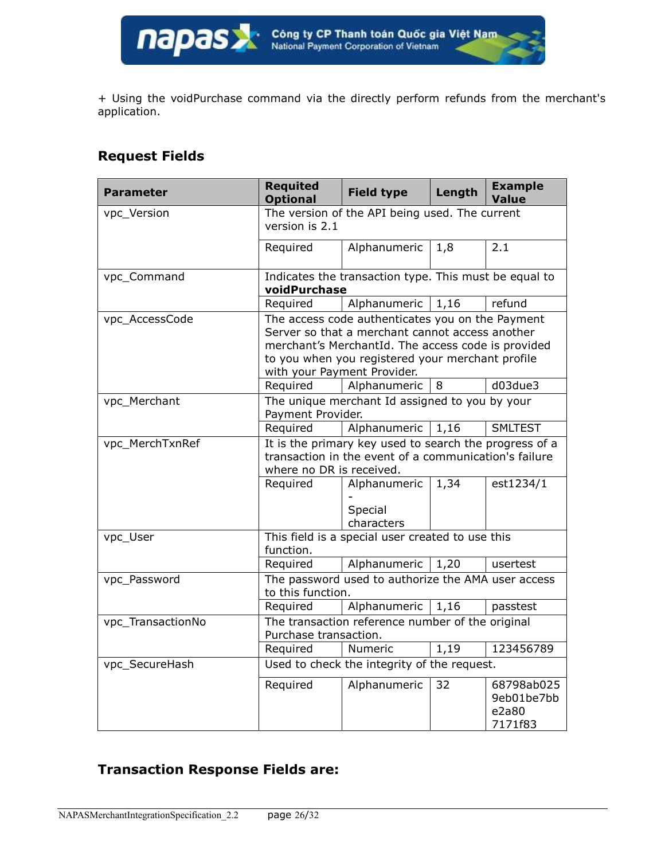+ Using the voidPurchase command via the directly perform refunds from the merchant's application.

### **Request Fields**

| <b>Parameter</b>  | <b>Requited</b><br><b>Optional</b>                                                                                                                                                                                                           | <b>Field type</b>                                     | Length | <b>Example</b><br><b>Value</b>               |
|-------------------|----------------------------------------------------------------------------------------------------------------------------------------------------------------------------------------------------------------------------------------------|-------------------------------------------------------|--------|----------------------------------------------|
| vpc_Version       | version is 2.1                                                                                                                                                                                                                               | The version of the API being used. The current        |        |                                              |
|                   | Required                                                                                                                                                                                                                                     | Alphanumeric                                          | 1,8    | 2.1                                          |
| vpc_Command       | voidPurchase                                                                                                                                                                                                                                 | Indicates the transaction type. This must be equal to |        |                                              |
|                   | Required                                                                                                                                                                                                                                     | Alphanumeric                                          | 1,16   | refund                                       |
| vpc_AccessCode    | The access code authenticates you on the Payment<br>Server so that a merchant cannot access another<br>merchant's MerchantId. The access code is provided<br>to you when you registered your merchant profile<br>with your Payment Provider. |                                                       |        |                                              |
|                   | Required                                                                                                                                                                                                                                     | Alphanumeric                                          | 8      | d03due3                                      |
| vpc_Merchant      | The unique merchant Id assigned to you by your<br>Payment Provider.                                                                                                                                                                          |                                                       |        |                                              |
|                   | Required                                                                                                                                                                                                                                     | Alphanumeric                                          | 1,16   | <b>SMLTEST</b>                               |
| vpc_MerchTxnRef   | It is the primary key used to search the progress of a<br>transaction in the event of a communication's failure<br>where no DR is received.                                                                                                  |                                                       |        |                                              |
|                   | Required                                                                                                                                                                                                                                     | Alphanumeric<br>Special<br>characters                 | 1,34   | est1234/1                                    |
| vpc_User          | function.                                                                                                                                                                                                                                    | This field is a special user created to use this      |        |                                              |
|                   | Required                                                                                                                                                                                                                                     | Alphanumeric                                          | 1,20   | usertest                                     |
| vpc_Password      | to this function.                                                                                                                                                                                                                            | The password used to authorize the AMA user access    |        |                                              |
|                   | Required                                                                                                                                                                                                                                     | Alphanumeric                                          | 1,16   | passtest                                     |
| vpc_TransactionNo | Purchase transaction.                                                                                                                                                                                                                        | The transaction reference number of the original      |        |                                              |
|                   | Required                                                                                                                                                                                                                                     | Numeric                                               | 1,19   | 123456789                                    |
| vpc_SecureHash    |                                                                                                                                                                                                                                              | Used to check the integrity of the request.           |        |                                              |
|                   | Required                                                                                                                                                                                                                                     | Alphanumeric                                          | 32     | 68798ab025<br>9eb01be7bb<br>e2a80<br>7171f83 |

### **Transaction Response Fields are:**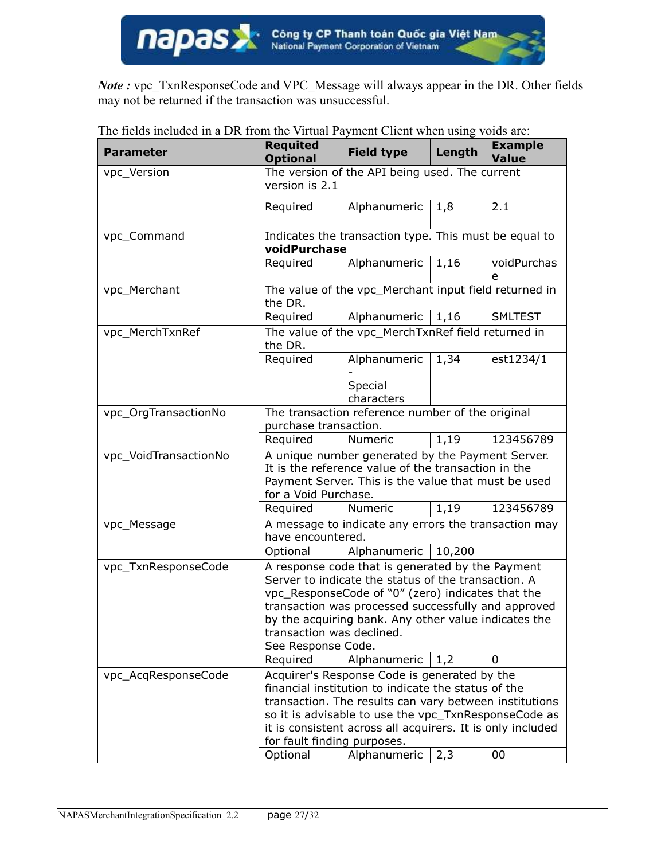*Note :* vpc\_TxnResponseCode and VPC\_Message will always appear in the DR. Other fields may not be returned if the transaction was unsuccessful.

| <b>Parameter</b>      | Requited<br><b>Optional</b>                                                                                                                                                                                                                                                                                                                                     | <b>Field type</b>                                    | Length | <b>Example</b><br><b>Value</b> |
|-----------------------|-----------------------------------------------------------------------------------------------------------------------------------------------------------------------------------------------------------------------------------------------------------------------------------------------------------------------------------------------------------------|------------------------------------------------------|--------|--------------------------------|
| vpc_Version           | The version of the API being used. The current<br>version is 2.1                                                                                                                                                                                                                                                                                                |                                                      |        |                                |
|                       | Required                                                                                                                                                                                                                                                                                                                                                        | Alphanumeric                                         | 1,8    | 2.1                            |
| vpc_Command           | Indicates the transaction type. This must be equal to<br>voidPurchase                                                                                                                                                                                                                                                                                           |                                                      |        |                                |
|                       | Required                                                                                                                                                                                                                                                                                                                                                        | Alphanumeric                                         | 1,16   | voidPurchas<br>e               |
| vpc_Merchant          | The value of the vpc_Merchant input field returned in<br>the DR.                                                                                                                                                                                                                                                                                                |                                                      |        |                                |
|                       | Required                                                                                                                                                                                                                                                                                                                                                        | Alphanumeric                                         | 1,16   | <b>SMLTEST</b>                 |
| vpc_MerchTxnRef       | The value of the vpc_MerchTxnRef field returned in<br>the DR.                                                                                                                                                                                                                                                                                                   |                                                      |        |                                |
|                       | Required                                                                                                                                                                                                                                                                                                                                                        | Alphanumeric<br>Special                              | 1,34   | est1234/1                      |
|                       |                                                                                                                                                                                                                                                                                                                                                                 | characters                                           |        |                                |
| vpc_OrgTransactionNo  | The transaction reference number of the original<br>purchase transaction.                                                                                                                                                                                                                                                                                       |                                                      |        |                                |
|                       | Required                                                                                                                                                                                                                                                                                                                                                        | Numeric                                              | 1,19   | 123456789                      |
| vpc_VoidTransactionNo | A unique number generated by the Payment Server.<br>It is the reference value of the transaction in the<br>Payment Server. This is the value that must be used<br>for a Void Purchase.                                                                                                                                                                          |                                                      |        |                                |
|                       | Required                                                                                                                                                                                                                                                                                                                                                        | Numeric                                              | 1,19   | 123456789                      |
| vpc_Message           | have encountered.                                                                                                                                                                                                                                                                                                                                               | A message to indicate any errors the transaction may |        |                                |
|                       | Optional                                                                                                                                                                                                                                                                                                                                                        | Alphanumeric                                         | 10,200 |                                |
| vpc_TxnResponseCode   | A response code that is generated by the Payment<br>Server to indicate the status of the transaction. A<br>vpc_ResponseCode of "0" (zero) indicates that the<br>transaction was processed successfully and approved<br>by the acquiring bank. Any other value indicates the<br>transaction was declined.<br>See Response Code.<br>Alphanumeric<br>Required<br>0 |                                                      |        |                                |
|                       |                                                                                                                                                                                                                                                                                                                                                                 |                                                      | 1,2    |                                |
| vpc_AcqResponseCode   | Acquirer's Response Code is generated by the<br>financial institution to indicate the status of the<br>transaction. The results can vary between institutions<br>so it is advisable to use the vpc_TxnResponseCode as<br>it is consistent across all acquirers. It is only included<br>for fault finding purposes.                                              |                                                      |        |                                |
|                       | Optional                                                                                                                                                                                                                                                                                                                                                        | Alphanumeric                                         | 2,3    | 00                             |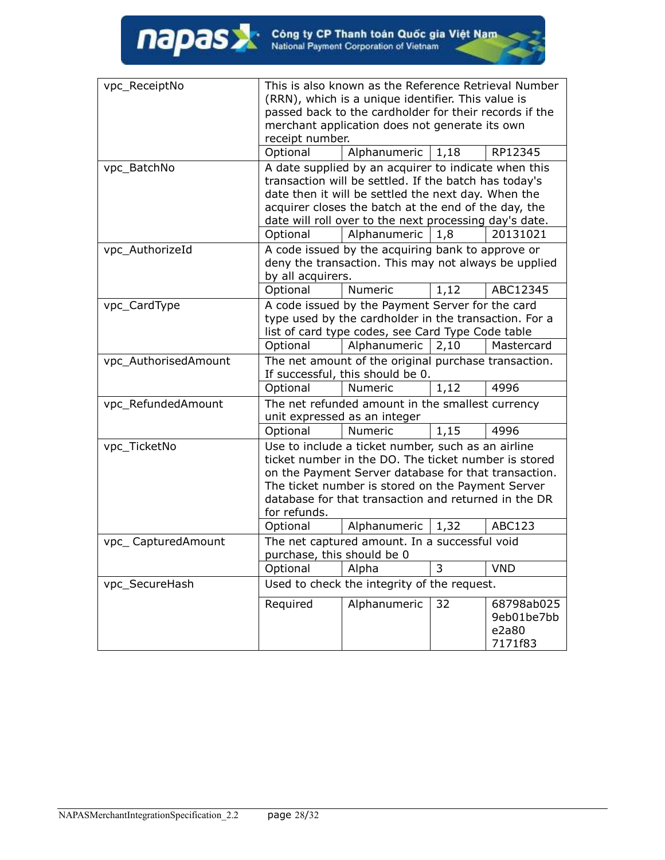| vpc_ReceiptNo        | This is also known as the Reference Retrieval Number                                     |                                                        |      |            |
|----------------------|------------------------------------------------------------------------------------------|--------------------------------------------------------|------|------------|
|                      | (RRN), which is a unique identifier. This value is                                       |                                                        |      |            |
|                      | passed back to the cardholder for their records if the                                   |                                                        |      |            |
|                      | merchant application does not generate its own                                           |                                                        |      |            |
|                      | receipt number.                                                                          |                                                        |      |            |
|                      | Optional                                                                                 | Alphanumeric                                           | 1,18 | RP12345    |
| vpc_BatchNo          |                                                                                          | A date supplied by an acquirer to indicate when this   |      |            |
|                      | transaction will be settled. If the batch has today's                                    |                                                        |      |            |
|                      |                                                                                          | date then it will be settled the next day. When the    |      |            |
|                      |                                                                                          | acquirer closes the batch at the end of the day, the   |      |            |
|                      |                                                                                          | date will roll over to the next processing day's date. |      |            |
|                      | Optional                                                                                 | Alphanumeric                                           | 1,8  | 20131021   |
| vpc_AuthorizeId      | A code issued by the acquiring bank to approve or                                        |                                                        |      |            |
|                      |                                                                                          | deny the transaction. This may not always be upplied   |      |            |
|                      | by all acquirers.                                                                        |                                                        |      |            |
|                      | Optional                                                                                 | Numeric                                                | 1,12 | ABC12345   |
| vpc_CardType         |                                                                                          | A code issued by the Payment Server for the card       |      |            |
|                      |                                                                                          | type used by the cardholder in the transaction. For a  |      |            |
|                      |                                                                                          | list of card type codes, see Card Type Code table      |      |            |
|                      | Optional                                                                                 | Alphanumeric                                           | 2,10 | Mastercard |
| vpc_AuthorisedAmount | The net amount of the original purchase transaction.<br>If successful, this should be 0. |                                                        |      |            |
|                      |                                                                                          |                                                        |      |            |
|                      | Optional                                                                                 | Numeric                                                | 1,12 | 4996       |
| vpc_RefundedAmount   | The net refunded amount in the smallest currency                                         |                                                        |      |            |
|                      |                                                                                          | unit expressed as an integer                           |      |            |
|                      | Optional                                                                                 | Numeric                                                | 1,15 | 4996       |
| vpc_TicketNo         | Use to include a ticket number, such as an airline                                       |                                                        |      |            |
|                      |                                                                                          | ticket number in the DO. The ticket number is stored   |      |            |
|                      | on the Payment Server database for that transaction.                                     |                                                        |      |            |
|                      | The ticket number is stored on the Payment Server                                        |                                                        |      |            |
|                      |                                                                                          | database for that transaction and returned in the DR   |      |            |
|                      | for refunds.                                                                             |                                                        |      |            |
|                      | Optional                                                                                 | Alphanumeric                                           | 1,32 | ABC123     |
| vpc_CapturedAmount   | The net captured amount. In a successful void<br>purchase, this should be 0              |                                                        |      |            |
|                      |                                                                                          |                                                        |      |            |
|                      | Optional                                                                                 | Alpha                                                  | 3    | <b>VND</b> |
| vpc_SecureHash       |                                                                                          | Used to check the integrity of the request.            |      |            |
|                      | Required                                                                                 | Alphanumeric                                           | 32   | 68798ab025 |
|                      |                                                                                          |                                                        |      | 9eb01be7bb |
|                      |                                                                                          |                                                        |      | e2a80      |
|                      |                                                                                          |                                                        |      | 7171f83    |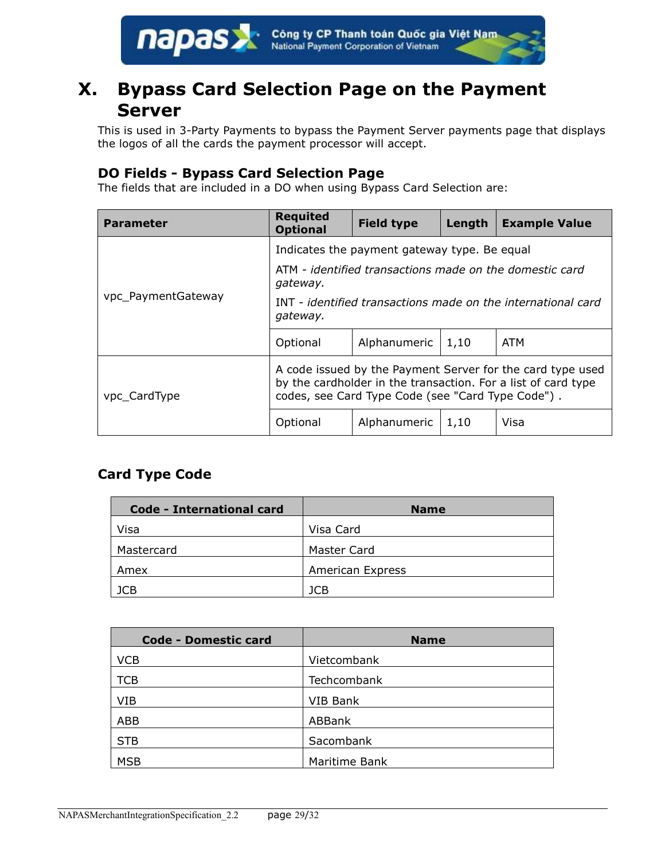

## <span id="page-28-0"></span>**X. Bypass Card Selection Page on the Payment Server**

This is used in 3-Party Payments to bypass the Payment Server payments page that displays the logos of all the cards the payment processor will accept.

#### **DO Fields - Bypass Card Selection Page**

The fields that are included in a DO when using Bypass Card Selection are:

| <b>Parameter</b>   | <b>Requited</b><br><b>Optional</b>                                                                                                                                               | <b>Field type</b> | Length | <b>Example Value</b> |
|--------------------|----------------------------------------------------------------------------------------------------------------------------------------------------------------------------------|-------------------|--------|----------------------|
|                    | Indicates the payment gateway type. Be equal<br>ATM - identified transactions made on the domestic card<br>gateway.                                                              |                   |        |                      |
| vpc_PaymentGateway | INT - identified transactions made on the international card<br>gateway.                                                                                                         |                   |        |                      |
|                    | Optional                                                                                                                                                                         | Alphanumeric      | 1,10   | <b>ATM</b>           |
| vpc_CardType       | A code issued by the Payment Server for the card type used<br>by the cardholder in the transaction. For a list of card type<br>codes, see Card Type Code (see "Card Type Code"). |                   |        |                      |
|                    | Optional                                                                                                                                                                         | Alphanumeric      | 1,10   | Visa                 |

### **Card Type Code**

| <b>Code - International card</b> | <b>Name</b>             |
|----------------------------------|-------------------------|
| Visa                             | Visa Card               |
| Mastercard                       | Master Card             |
| Amex                             | <b>American Express</b> |
| JCB                              | 1CB                     |

| <b>Code - Domestic card</b> | <b>Name</b>   |
|-----------------------------|---------------|
| <b>VCB</b>                  | Vietcombank   |
| TCB                         | Techcombank   |
| VIB                         | VIB Bank      |
| ABB                         | ABBank        |
| <b>STB</b>                  | Sacombank     |
| <b>MSB</b>                  | Maritime Bank |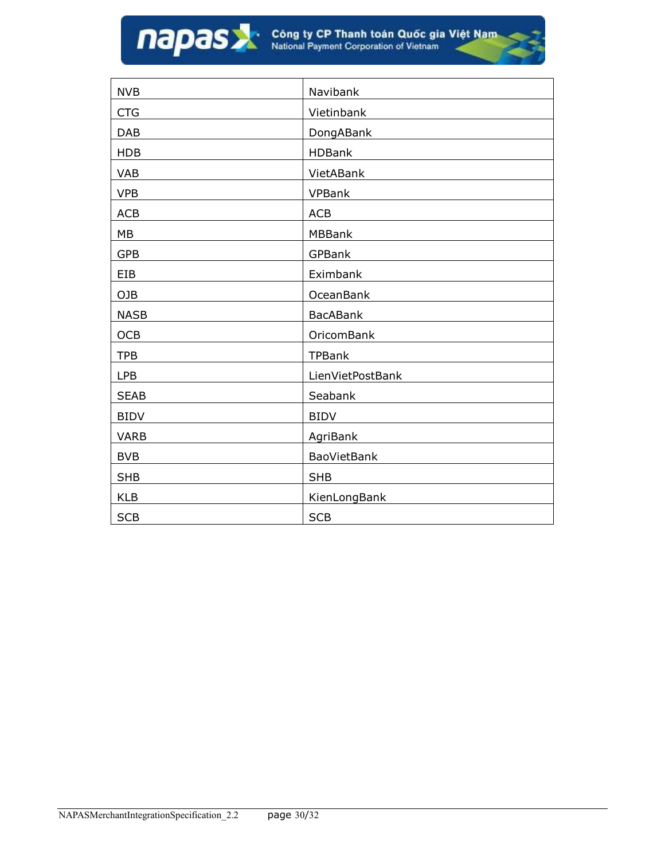| <b>NVB</b>  | Navibank           |
|-------------|--------------------|
| <b>CTG</b>  | Vietinbank         |
| <b>DAB</b>  | DongABank          |
| <b>HDB</b>  | <b>HDBank</b>      |
| <b>VAB</b>  | VietABank          |
| <b>VPB</b>  | <b>VPBank</b>      |
| <b>ACB</b>  | <b>ACB</b>         |
| MB          | <b>MBBank</b>      |
| <b>GPB</b>  | GPBank             |
| EIB         | Eximbank           |
| OJB         | <b>OceanBank</b>   |
| <b>NASB</b> | <b>BacABank</b>    |
| <b>OCB</b>  | <b>OricomBank</b>  |
| <b>TPB</b>  | <b>TPBank</b>      |
| LPB         | LienVietPostBank   |
| <b>SEAB</b> | Seabank            |
| <b>BIDV</b> | <b>BIDV</b>        |
| <b>VARB</b> | AgriBank           |
| <b>BVB</b>  | <b>BaoVietBank</b> |
| <b>SHB</b>  | <b>SHB</b>         |
| <b>KLB</b>  | KienLongBank       |
| <b>SCB</b>  | <b>SCB</b>         |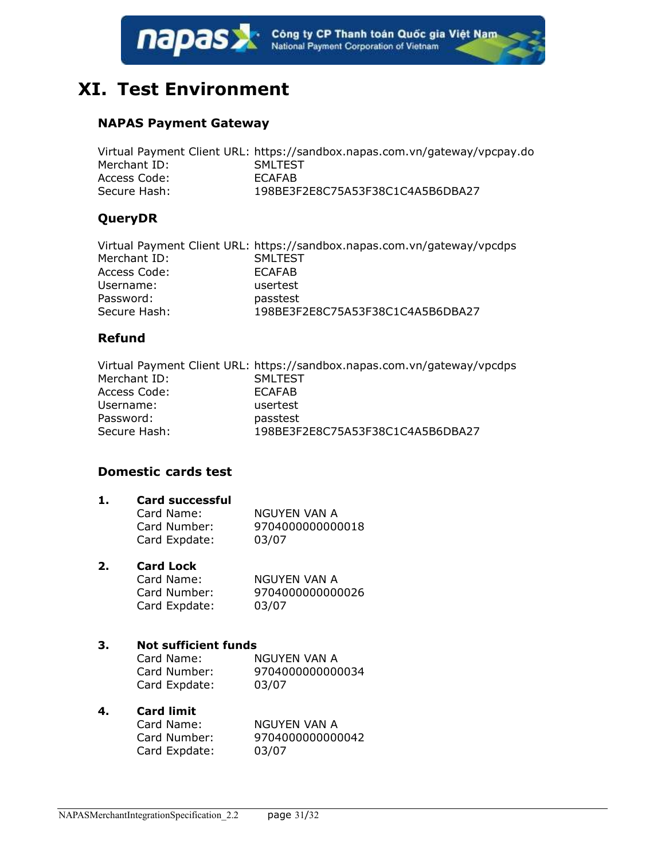

## <span id="page-30-0"></span>**XI. Test Environment**

#### **NAPAS Payment Gateway**

|              | Virtual Payment Client URL: https://sandbox.napas.com.vn/gateway/vpcpay.do |
|--------------|----------------------------------------------------------------------------|
| Merchant ID: | <b>SMLTEST</b>                                                             |
| Access Code: | <b>ECAFAB</b>                                                              |
| Secure Hash: | 198BE3F2E8C75A53F38C1C4A5B6DBA27                                           |

#### **QueryDR**

|              | Virtual Payment Client URL: https://sandbox.napas.com.vn/gateway/vpcdps |
|--------------|-------------------------------------------------------------------------|
| Merchant ID: | <b>SMLTEST</b>                                                          |
| Access Code: | <b>ECAFAB</b>                                                           |
| Username:    | usertest                                                                |
| Password:    | passtest                                                                |
| Secure Hash: | 198BE3F2E8C75A53F38C1C4A5B6DBA27                                        |

#### **Refund**

|              | Virtual Payment Client URL: https://sandbox.napas.com.vn/gateway/vpcdps |
|--------------|-------------------------------------------------------------------------|
| Merchant ID: | <b>SMLTEST</b>                                                          |
| Access Code: | <b>ECAFAB</b>                                                           |
| Username:    | usertest                                                                |
| Password:    | passtest                                                                |
| Secure Hash: | 198BE3F2E8C75A53F38C1C4A5B6DBA27                                        |

#### **Domestic cards test**

| Card Name:    | NGUYEN VAN A     |
|---------------|------------------|
| Card Number:  | 9704000000000018 |
| Card Expdate: | 03/07            |

#### **2. Card Lock**

| Card Name:    | NGUYEN VAN A     |
|---------------|------------------|
| Card Number:  | 9704000000000026 |
| Card Expdate: | 03/07            |

#### **3. Not sufficient funds**

| Card Name:    | NGUYEN VAN A     |
|---------------|------------------|
| Card Number:  | 9704000000000034 |
| Card Expdate: | 03/07            |

#### **4. Card limit**

| Card Name:    | NGUYEN VAN A     |
|---------------|------------------|
| Card Number:  | 9704000000000042 |
| Card Expdate: | 03/07            |